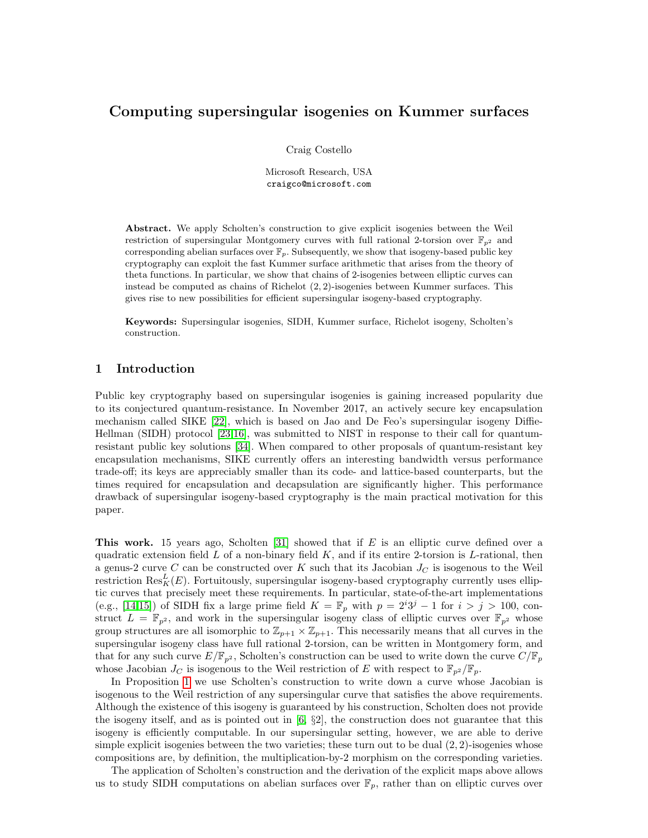# Computing supersingular isogenies on Kummer surfaces

Craig Costello

Microsoft Research, USA craigco@microsoft.com

Abstract. We apply Scholten's construction to give explicit isogenies between the Weil restriction of supersingular Montgomery curves with full rational 2-torsion over  $\mathbb{F}_{n^2}$  and corresponding abelian surfaces over  $\mathbb{F}_p$ . Subsequently, we show that isogeny-based public key cryptography can exploit the fast Kummer surface arithmetic that arises from the theory of theta functions. In particular, we show that chains of 2-isogenies between elliptic curves can instead be computed as chains of Richelot (2, 2)-isogenies between Kummer surfaces. This gives rise to new possibilities for efficient supersingular isogeny-based cryptography.

Keywords: Supersingular isogenies, SIDH, Kummer surface, Richelot isogeny, Scholten's construction.

## <span id="page-0-0"></span>1 Introduction

Public key cryptography based on supersingular isogenies is gaining increased popularity due to its conjectured quantum-resistance. In November 2017, an actively secure key encapsulation mechanism called SIKE [\[22\]](#page-20-0), which is based on Jao and De Feo's supersingular isogeny Diffie-Hellman (SIDH) protocol [\[23,](#page-20-1)[16\]](#page-20-2), was submitted to NIST in response to their call for quantumresistant public key solutions [\[34\]](#page-21-0). When compared to other proposals of quantum-resistant key encapsulation mechanisms, SIKE currently offers an interesting bandwidth versus performance trade-off; its keys are appreciably smaller than its code- and lattice-based counterparts, but the times required for encapsulation and decapsulation are significantly higher. This performance drawback of supersingular isogeny-based cryptography is the main practical motivation for this paper.

This work. 15 years ago, Scholten  $[31]$  showed that if E is an elliptic curve defined over a quadratic extension field  $L$  of a non-binary field  $K$ , and if its entire 2-torsion is  $L$ -rational, then a genus-2 curve C can be constructed over K such that its Jacobian  $J_C$  is isogenous to the Weil restriction  $\text{Res}_{K}^{L}(E)$ . Fortuitously, supersingular isogeny-based cryptography currently uses elliptic curves that precisely meet these requirements. In particular, state-of-the-art implementations (e.g., [\[14](#page-20-3)[,15\]](#page-20-4)) of SIDH fix a large prime field  $K = \mathbb{F}_p$  with  $p = 2^i 3^j - 1$  for  $i > j > 100$ , construct  $L = \mathbb{F}_{p^2}$ , and work in the supersingular isogeny class of elliptic curves over  $\mathbb{F}_{p^2}$  whose group structures are all isomorphic to  $\mathbb{Z}_{p+1} \times \mathbb{Z}_{p+1}$ . This necessarily means that all curves in the supersingular isogeny class have full rational 2-torsion, can be written in Montgomery form, and that for any such curve  $E/\mathbb{F}_{p^2}$ , Scholten's construction can be used to write down the curve  $C/\mathbb{F}_p$ whose Jacobian  $J_C$  is isogenous to the Weil restriction of E with respect to  $\mathbb{F}_{p^2}/\mathbb{F}_p$ .

In Proposition [1](#page-6-0) we use Scholten's construction to write down a curve whose Jacobian is isogenous to the Weil restriction of any supersingular curve that satisfies the above requirements. Although the existence of this isogeny is guaranteed by his construction, Scholten does not provide the isogeny itself, and as is pointed out in  $[6, \S2]$  $[6, \S2]$ , the construction does not guarantee that this isogeny is efficiently computable. In our supersingular setting, however, we are able to derive simple explicit isogenies between the two varieties; these turn out to be dual  $(2, 2)$ -isogenies whose compositions are, by definition, the multiplication-by-2 morphism on the corresponding varieties.

The application of Scholten's construction and the derivation of the explicit maps above allows us to study SIDH computations on abelian surfaces over  $\mathbb{F}_p$ , rather than on elliptic curves over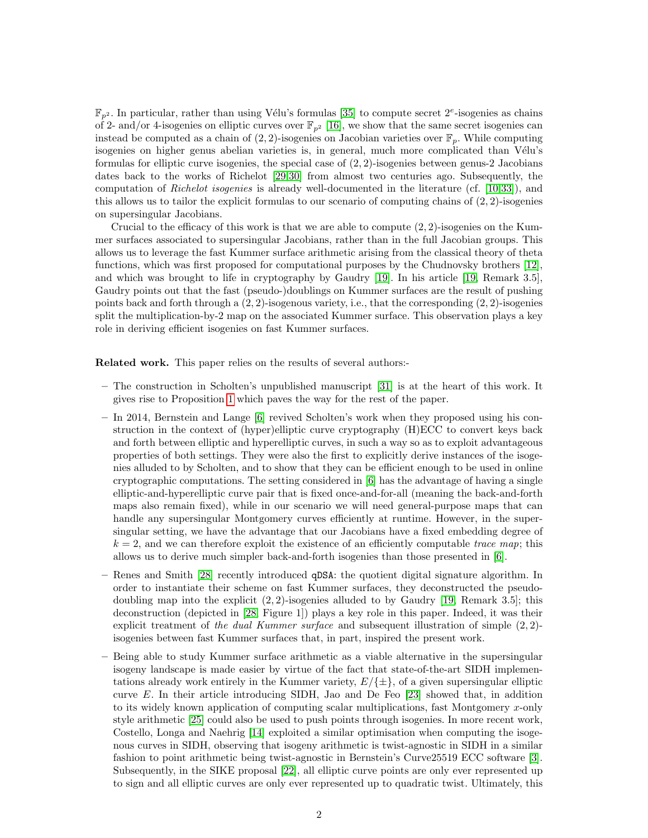$\mathbb{F}_{p^2}$ . In particular, rather than using Vélu's formulas [\[35\]](#page-21-2) to compute secret  $2^e$ -isogenies as chains of 2- and/or 4-isogenies on elliptic curves over  $\mathbb{F}_{p^2}$  [\[16\]](#page-20-2), we show that the same secret isogenies can instead be computed as a chain of  $(2, 2)$ -isogenies on Jacobian varieties over  $\mathbb{F}_p$ . While computing isogenies on higher genus abelian varieties is, in general, much more complicated than Vélu's formulas for elliptic curve isogenies, the special case of  $(2, 2)$ -isogenies between genus-2 Jacobians dates back to the works of Richelot [\[29,](#page-21-3)[30\]](#page-21-4) from almost two centuries ago. Subsequently, the computation of Richelot isogenies is already well-documented in the literature (cf. [\[10,](#page-20-6)[33\]](#page-21-5)), and this allows us to tailor the explicit formulas to our scenario of computing chains of  $(2, 2)$ -isogenies on supersingular Jacobians.

Crucial to the efficacy of this work is that we are able to compute  $(2, 2)$ -isogenies on the Kummer surfaces associated to supersingular Jacobians, rather than in the full Jacobian groups. This allows us to leverage the fast Kummer surface arithmetic arising from the classical theory of theta functions, which was first proposed for computational purposes by the Chudnovsky brothers [\[12\]](#page-20-7), and which was brought to life in cryptography by Gaudry [\[19\]](#page-20-8). In his article [\[19,](#page-20-8) Remark 3.5], Gaudry points out that the fast (pseudo-)doublings on Kummer surfaces are the result of pushing points back and forth through a  $(2, 2)$ -isogenous variety, i.e., that the corresponding  $(2, 2)$ -isogenies split the multiplication-by-2 map on the associated Kummer surface. This observation plays a key role in deriving efficient isogenies on fast Kummer surfaces.

Related work. This paper relies on the results of several authors:-

- The construction in Scholten's unpublished manuscript [\[31\]](#page-21-1) is at the heart of this work. It gives rise to Proposition [1](#page-6-0) which paves the way for the rest of the paper.
- In 2014, Bernstein and Lange [\[6\]](#page-20-5) revived Scholten's work when they proposed using his construction in the context of (hyper)elliptic curve cryptography (H)ECC to convert keys back and forth between elliptic and hyperelliptic curves, in such a way so as to exploit advantageous properties of both settings. They were also the first to explicitly derive instances of the isogenies alluded to by Scholten, and to show that they can be efficient enough to be used in online cryptographic computations. The setting considered in [\[6\]](#page-20-5) has the advantage of having a single elliptic-and-hyperelliptic curve pair that is fixed once-and-for-all (meaning the back-and-forth maps also remain fixed), while in our scenario we will need general-purpose maps that can handle any supersingular Montgomery curves efficiently at runtime. However, in the supersingular setting, we have the advantage that our Jacobians have a fixed embedding degree of  $k = 2$ , and we can therefore exploit the existence of an efficiently computable trace map; this allows us to derive much simpler back-and-forth isogenies than those presented in [\[6\]](#page-20-5).
- Renes and Smith [\[28\]](#page-21-6) recently introduced qDSA: the quotient digital signature algorithm. In order to instantiate their scheme on fast Kummer surfaces, they deconstructed the pseudodoubling map into the explicit  $(2, 2)$ -isogenies alluded to by Gaudry [\[19,](#page-20-8) Remark 3.5]; this deconstruction (depicted in [\[28,](#page-21-6) Figure 1]) plays a key role in this paper. Indeed, it was their explicit treatment of the dual Kummer surface and subsequent illustration of simple  $(2, 2)$ isogenies between fast Kummer surfaces that, in part, inspired the present work.
- Being able to study Kummer surface arithmetic as a viable alternative in the supersingular isogeny landscape is made easier by virtue of the fact that state-of-the-art SIDH implementations already work entirely in the Kummer variety,  $E/\{\pm\}$ , of a given supersingular elliptic curve E. In their article introducing SIDH, Jao and De Feo  $[23]$  showed that, in addition to its widely known application of computing scalar multiplications, fast Montgomery x-only style arithmetic [\[25\]](#page-20-9) could also be used to push points through isogenies. In more recent work, Costello, Longa and Naehrig [\[14\]](#page-20-3) exploited a similar optimisation when computing the isogenous curves in SIDH, observing that isogeny arithmetic is twist-agnostic in SIDH in a similar fashion to point arithmetic being twist-agnostic in Bernstein's Curve25519 ECC software [\[3\]](#page-20-10). Subsequently, in the SIKE proposal [\[22\]](#page-20-0), all elliptic curve points are only ever represented up to sign and all elliptic curves are only ever represented up to quadratic twist. Ultimately, this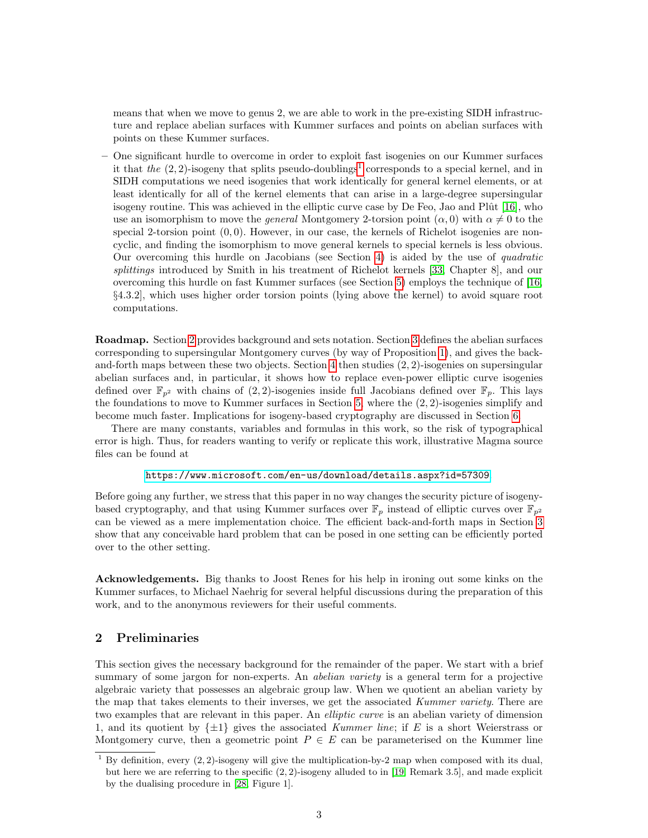means that when we move to genus 2, we are able to work in the pre-existing SIDH infrastructure and replace abelian surfaces with Kummer surfaces and points on abelian surfaces with points on these Kummer surfaces.

– One significant hurdle to overcome in order to exploit fast isogenies on our Kummer surfaces it that the  $(2, 2)$ -isogeny that splits pseudo-doublings<sup>[1](#page-2-0)</sup> corresponds to a special kernel, and in SIDH computations we need isogenies that work identically for general kernel elements, or at least identically for all of the kernel elements that can arise in a large-degree supersingular isogeny routine. This was achieved in the elliptic curve case by De Feo, Jao and Pl $\hat{u}$  [\[16\]](#page-20-2), who use an isomorphism to move the *general* Montgomery 2-torsion point  $(\alpha, 0)$  with  $\alpha \neq 0$  to the special 2-torsion point  $(0, 0)$ . However, in our case, the kernels of Richelot isogenies are noncyclic, and finding the isomorphism to move general kernels to special kernels is less obvious. Our overcoming this hurdle on Jacobians (see Section [4\)](#page-9-0) is aided by the use of quadratic splittings introduced by Smith in his treatment of Richelot kernels [\[33,](#page-21-5) Chapter 8], and our overcoming this hurdle on fast Kummer surfaces (see Section [5\)](#page-12-0) employs the technique of [\[16,](#page-20-2) §4.3.2], which uses higher order torsion points (lying above the kernel) to avoid square root computations.

Roadmap. Section [2](#page-2-1) provides background and sets notation. Section [3](#page-5-0) defines the abelian surfaces corresponding to supersingular Montgomery curves (by way of Proposition [1\)](#page-6-0), and gives the backand-forth maps between these two objects. Section [4](#page-9-0) then studies (2, 2)-isogenies on supersingular abelian surfaces and, in particular, it shows how to replace even-power elliptic curve isogenies defined over  $\mathbb{F}_{n^2}$  with chains of (2, 2)-isogenies inside full Jacobians defined over  $\mathbb{F}_n$ . This lays the foundations to move to Kummer surfaces in Section [5,](#page-12-0) where the (2, 2)-isogenies simplify and become much faster. Implications for isogeny-based cryptography are discussed in Section [6.](#page-17-0)

There are many constants, variables and formulas in this work, so the risk of typographical error is high. Thus, for readers wanting to verify or replicate this work, illustrative Magma source files can be found at

### <https://www.microsoft.com/en-us/download/details.aspx?id=57309>.

Before going any further, we stress that this paper in no way changes the security picture of isogenybased cryptography, and that using Kummer surfaces over  $\mathbb{F}_p$  instead of elliptic curves over  $\mathbb{F}_{p^2}$ can be viewed as a mere implementation choice. The efficient back-and-forth maps in Section [3](#page-5-0) show that any conceivable hard problem that can be posed in one setting can be efficiently ported over to the other setting.

Acknowledgements. Big thanks to Joost Renes for his help in ironing out some kinks on the Kummer surfaces, to Michael Naehrig for several helpful discussions during the preparation of this work, and to the anonymous reviewers for their useful comments.

## <span id="page-2-1"></span>2 Preliminaries

This section gives the necessary background for the remainder of the paper. We start with a brief summary of some jargon for non-experts. An *abelian variety* is a general term for a projective algebraic variety that possesses an algebraic group law. When we quotient an abelian variety by the map that takes elements to their inverses, we get the associated Kummer variety. There are two examples that are relevant in this paper. An *elliptic curve* is an abelian variety of dimension 1, and its quotient by  $\{\pm 1\}$  gives the associated Kummer line; if E is a short Weierstrass or Montgomery curve, then a geometric point  $P \in E$  can be parameterised on the Kummer line

<span id="page-2-0"></span><sup>&</sup>lt;sup>1</sup> By definition, every  $(2, 2)$ -isogeny will give the multiplication-by-2 map when composed with its dual, but here we are referring to the specific (2, 2)-isogeny alluded to in [\[19,](#page-20-8) Remark 3.5], and made explicit by the dualising procedure in [\[28,](#page-21-6) Figure 1].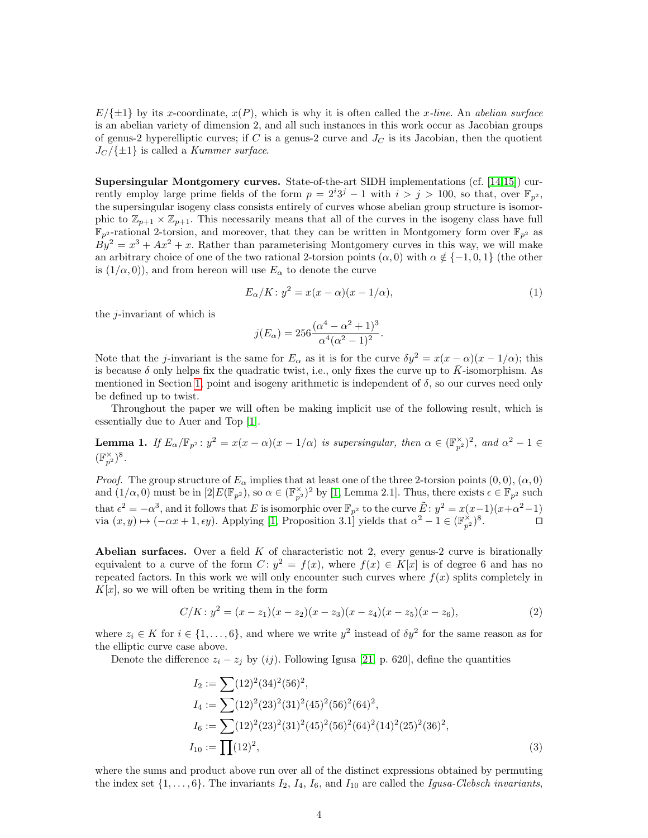$E/\{\pm 1\}$  by its x-coordinate,  $x(P)$ , which is why it is often called the x-line. An abelian surface is an abelian variety of dimension 2, and all such instances in this work occur as Jacobian groups of genus-2 hyperelliptic curves; if C is a genus-2 curve and  $J<sub>C</sub>$  is its Jacobian, then the quotient  $J_C/\{\pm 1\}$  is called a *Kummer surface*.

Supersingular Montgomery curves. State-of-the-art SIDH implementations (cf. [\[14,](#page-20-3)[15\]](#page-20-4)) currently employ large prime fields of the form  $p = 2^{i}3^{j} - 1$  with  $i > j > 100$ , so that, over  $\mathbb{F}_{p^2}$ , the supersingular isogeny class consists entirely of curves whose abelian group structure is isomorphic to  $\mathbb{Z}_{p+1} \times \mathbb{Z}_{p+1}$ . This necessarily means that all of the curves in the isogeny class have full  $\mathbb{F}_{p^2}$ -rational 2-torsion, and moreover, that they can be written in Montgomery form over  $\mathbb{F}_{p^2}$  as  $By^2 = x^3 + Ax^2 + x$ . Rather than parameterising Montgomery curves in this way, we will make an arbitrary choice of one of the two rational 2-torsion points  $(\alpha, 0)$  with  $\alpha \notin \{-1, 0, 1\}$  (the other is  $(1/\alpha, 0)$ , and from hereon will use  $E_{\alpha}$  to denote the curve

$$
E_{\alpha}/K: y^2 = x(x - \alpha)(x - 1/\alpha), \tag{1}
$$

the  $j$ -invariant of which is

<span id="page-3-1"></span>
$$
j(E_{\alpha}) = 256 \frac{(\alpha^4 - \alpha^2 + 1)^3}{\alpha^4 (\alpha^2 - 1)^2}.
$$

Note that the j-invariant is the same for  $E_{\alpha}$  as it is for the curve  $\delta y^2 = x(x - \alpha)(x - 1/\alpha)$ ; this is because  $\delta$  only helps fix the quadratic twist, i.e., only fixes the curve up to K-isomorphism. As mentioned in Section [1,](#page-0-0) point and isogeny arithmetic is independent of  $\delta$ , so our curves need only be defined up to twist.

Throughout the paper we will often be making implicit use of the following result, which is essentially due to Auer and Top [\[1\]](#page-19-0).

<span id="page-3-2"></span>**Lemma 1.** If  $E_{\alpha}/\mathbb{F}_{p^2}$ :  $y^2 = x(x - \alpha)(x - 1/\alpha)$  is supersingular, then  $\alpha \in (\mathbb{F}_{p^2})^2$ , and  $\alpha^2 - 1 \in$  $(\mathbb{F}_{p^2}^{\times})^8$ .

*Proof.* The group structure of  $E_\alpha$  implies that at least one of the three 2-torsion points  $(0,0)$ ,  $(\alpha,0)$ and  $(1/\alpha, 0)$  must be in  $[2]E(\mathbb{F}_{p^2})$ , so  $\alpha \in (\mathbb{F}_{p^2}^{\times})^2$  by [\[1,](#page-19-0) Lemma 2.1]. Thus, there exists  $\epsilon \in \mathbb{F}_{p^2}$  such that  $\epsilon^2 = -\alpha^3$ , and it follows that E is isomorphic over  $\mathbb{F}_{p^2}$  to the curve  $\tilde{E}: y^2 = x(x-1)(x+\alpha^2-1)$ via  $(x, y) \mapsto (-\alpha x + 1, \epsilon y)$ . Applying [\[1,](#page-19-0) Proposition 3.1] yields that  $\alpha^2 - 1 \in (\mathbb{F}_{p^2}^{\times})^8$  $\Box$ 

**Abelian surfaces.** Over a field  $K$  of characteristic not 2, every genus-2 curve is birationally equivalent to a curve of the form  $C: y^2 = f(x)$ , where  $f(x) \in K[x]$  is of degree 6 and has no repeated factors. In this work we will only encounter such curves where  $f(x)$  splits completely in  $K[x]$ , so we will often be writing them in the form

$$
C/K: y^2 = (x - z_1)(x - z_2)(x - z_3)(x - z_4)(x - z_5)(x - z_6),
$$
\n(2)

where  $z_i \in K$  for  $i \in \{1, \ldots, 6\}$ , and where we write  $y^2$  instead of  $\delta y^2$  for the same reason as for the elliptic curve case above.

Denote the difference  $z_i - z_j$  by (ij). Following Igusa [\[21,](#page-20-11) p. 620], define the quantities

<span id="page-3-3"></span><span id="page-3-0"></span>
$$
I_2 := \sum (12)^2 (34)^2 (56)^2,
$$
  
\n
$$
I_4 := \sum (12)^2 (23)^2 (31)^2 (45)^2 (56)^2 (64)^2,
$$
  
\n
$$
I_6 := \sum (12)^2 (23)^2 (31)^2 (45)^2 (56)^2 (64)^2 (14)^2 (25)^2 (36)^2,
$$
  
\n
$$
I_{10} := \prod (12)^2,
$$
\n(3)

where the sums and product above run over all of the distinct expressions obtained by permuting the index set  $\{1,\ldots,6\}$ . The invariants  $I_2$ ,  $I_4$ ,  $I_6$ , and  $I_{10}$  are called the *Igusa-Clebsch invariants*,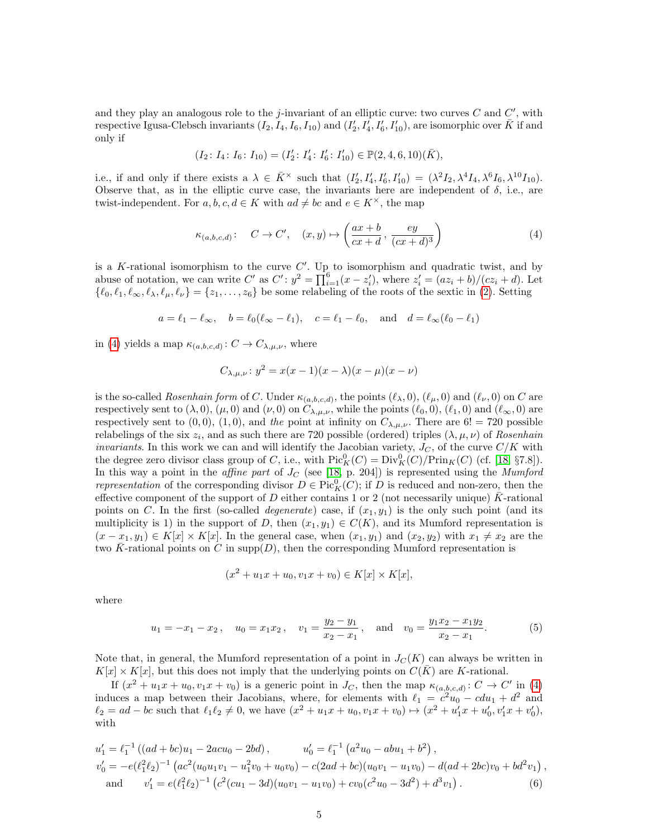and they play an analogous role to the *j*-invariant of an elliptic curve: two curves  $C$  and  $C'$ , with respective Igusa-Clebsch invariants  $(I_2, I_4, I_6, I_{10})$  and  $(I'_2, I'_4, I'_6, I'_{10})$ , are isomorphic over  $\bar{K}$  if and only if

$$
(I_2: I_4: I_6: I_{10}) = (I'_2: I'_4: I'_6: I'_{10}) \in \mathbb{P}(2, 4, 6, 10)(\overline{K}),
$$

i.e., if and only if there exists a  $\lambda \in \overline{K}^{\times}$  such that  $(I_2', I_4', I_6', I_{10}') = (\lambda^2 I_2, \lambda^4 I_4, \lambda^6 I_6, \lambda^{10} I_{10})$ . Observe that, as in the elliptic curve case, the invariants here are independent of  $\delta$ , i.e., are twist-independent. For  $a, b, c, d \in K$  with  $ad \neq bc$  and  $e \in K^{\times}$ , the map

<span id="page-4-0"></span>
$$
\kappa_{(a,b,c,d)}: C \to C', \quad (x,y) \mapsto \left(\frac{ax+b}{cx+d}, \frac{ey}{(cx+d)^3}\right)
$$
 (4)

is a K-rational isomorphism to the curve  $C'$ . Up to isomorphism and quadratic twist, and by abuse of notation, we can write C' as  $C' : y^2 = \prod_{i=1}^6 (x - z'_i)$ , where  $z'_i = (az_i + b)/(cz_i + d)$ . Let  $\{\ell_0, \ell_1, \ell_\infty, \ell_\lambda, \ell_\mu, \ell_\nu\} = \{z_1, \ldots, z_6\}$  be some relabeling of the roots of the sextic in [\(2\)](#page-3-0). Setting

$$
a = \ell_1 - \ell_\infty
$$
,  $b = \ell_0(\ell_\infty - \ell_1)$ ,  $c = \ell_1 - \ell_0$ , and  $d = \ell_\infty(\ell_0 - \ell_1)$ 

in [\(4\)](#page-4-0) yields a map  $\kappa_{(a,b,c,d)}: C \to C_{\lambda,\mu,\nu}$ , where

$$
C_{\lambda,\mu,\nu}: y^2 = x(x-1)(x - \lambda)(x - \mu)(x - \nu)
$$

is the so-called *Rosenhain form* of C. Under  $\kappa_{(a,b,c,d)}$ , the points  $(\ell_\lambda, 0), (\ell_\mu, 0)$  and  $(\ell_\nu, 0)$  on C are respectively sent to  $(\lambda, 0)$ ,  $(\mu, 0)$  and  $(\nu, 0)$  on  $C_{\lambda,\mu,\nu}$ , while the points  $(\ell_0, 0)$ ,  $(\ell_1, 0)$  and  $(\ell_{\infty}, 0)$  are respectively sent to  $(0,0)$ ,  $(1,0)$ , and the point at infinity on  $C_{\lambda,\mu,\nu}$ . There are  $6! = 720$  possible relabelings of the six  $z_i$ , and as such there are 720 possible (ordered) triples  $(\lambda, \mu, \nu)$  of Rosenhain invariants. In this work we can and will identify the Jacobian variety,  $J_C$ , of the curve  $C/K$  with the degree zero divisor class group of C, i.e., with  $Pic_K^0(C) = Div_K^0(C)/Prin_K(C)$  (cf. [\[18,](#page-20-12) §7.8]). In this way a point in the *affine part* of  $J<sub>C</sub>$  (see [\[18,](#page-20-12) p. 204]) is represented using the *Mumford* representation of the corresponding divisor  $D \in Pic_K^0(C)$ ; if D is reduced and non-zero, then the effective component of the support of D either contains 1 or 2 (not necessarily unique) K-rational points on C. In the first (so-called *degenerate*) case, if  $(x_1, y_1)$  is the only such point (and its multiplicity is 1) in the support of D, then  $(x_1, y_1) \in C(K)$ , and its Mumford representation is  $(x - x_1, y_1) \in K[x] \times K[x]$ . In the general case, when  $(x_1, y_1)$  and  $(x_2, y_2)$  with  $x_1 \neq x_2$  are the two  $\bar{K}$ -rational points on C in supp $(D)$ , then the corresponding Mumford representation is

<span id="page-4-2"></span><span id="page-4-1"></span>
$$
(x^{2} + u_{1}x + u_{0}, v_{1}x + v_{0}) \in K[x] \times K[x],
$$

where

$$
u_1 = -x_1 - x_2
$$
,  $u_0 = x_1 x_2$ ,  $v_1 = \frac{y_2 - y_1}{x_2 - x_1}$ , and  $v_0 = \frac{y_1 x_2 - x_1 y_2}{x_2 - x_1}$ . (5)

Note that, in general, the Mumford representation of a point in  $J_C(K)$  can always be written in  $K[x] \times K[x]$ , but this does not imply that the underlying points on  $C(\overline{K})$  are K-rational.

If  $(x^2 + u_1x + u_0, v_1x + v_0)$  is a generic point in  $J_C$ , then the map  $\kappa_{(a,b,c,d)}: C \to C'$  in [\(4\)](#page-4-0) induces a map between their Jacobians, where, for elements with  $\ell_1 = c^2 u_0 - c du_1 + d^2$  and  $\ell_2 = ad - bc$  such that  $\ell_1 \ell_2 \neq 0$ , we have  $(x^2 + u_1x + u_0, v_1x + v_0) \mapsto (x^2 + u'_1x + u'_0, v'_1x + v'_0)$ , with

$$
u'_1 = \ell_1^{-1} ((ad + bc)u_1 - 2acu_0 - 2bd), \qquad u'_0 = \ell_1^{-1} (a^2u_0 - abu_1 + b^2),
$$
  
\n
$$
v'_0 = -e(\ell_1^2 \ell_2)^{-1} (ac^2(u_0u_1v_1 - u_1^2v_0 + u_0v_0) - c(2ad + bc)(u_0v_1 - u_1v_0) - d(ad + 2bc)v_0 + bd^2v_1),
$$
  
\nand 
$$
v'_1 = e(\ell_1^2 \ell_2)^{-1} (c^2(cu_1 - 3d)(u_0v_1 - u_1v_0) + cv_0(c^2u_0 - 3d^2) + d^3v_1).
$$
 (6)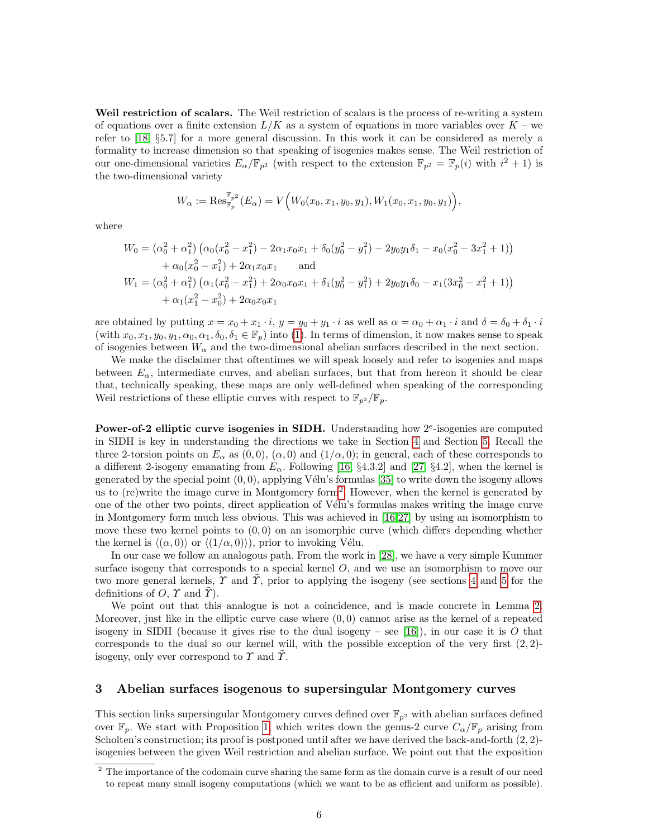Weil restriction of scalars. The Weil restriction of scalars is the process of re-writing a system of equations over a finite extension  $L/K$  as a system of equations in more variables over  $K$  – we refer to [\[18,](#page-20-12) §5.7] for a more general discussion. In this work it can be considered as merely a formality to increase dimension so that speaking of isogenies makes sense. The Weil restriction of our one-dimensional varieties  $E_{\alpha}/\mathbb{F}_{p^2}$  (with respect to the extension  $\mathbb{F}_{p^2} = \mathbb{F}_p(i)$  with  $i^2 + 1$ ) is the two-dimensional variety

$$
W_{\alpha} := \text{Res}_{\mathbb{F}_p}^{\mathbb{F}_{p^2}}(E_{\alpha}) = V\Big(W_0(x_0, x_1, y_0, y_1), W_1(x_0, x_1, y_0, y_1)\Big),
$$

where

$$
W_0 = (\alpha_0^2 + \alpha_1^2) (\alpha_0 (x_0^2 - x_1^2) - 2\alpha_1 x_0 x_1 + \delta_0 (y_0^2 - y_1^2) - 2y_0 y_1 \delta_1 - x_0 (x_0^2 - 3x_1^2 + 1))
$$
  
+  $\alpha_0 (x_0^2 - x_1^2) + 2\alpha_1 x_0 x_1$  and  

$$
W_1 = (\alpha_0^2 + \alpha_1^2) (\alpha_1 (x_0^2 - x_1^2) + 2\alpha_0 x_0 x_1 + \delta_1 (y_0^2 - y_1^2) + 2y_0 y_1 \delta_0 - x_1 (3x_0^2 - x_1^2 + 1))
$$
  
+  $\alpha_1 (x_1^2 - x_0^2) + 2\alpha_0 x_0 x_1$ 

are obtained by putting  $x = x_0 + x_1 \cdot i$ ,  $y = y_0 + y_1 \cdot i$  as well as  $\alpha = \alpha_0 + \alpha_1 \cdot i$  and  $\delta = \delta_0 + \delta_1 \cdot i$ (with  $x_0, x_1, y_0, y_1, \alpha_0, \alpha_1, \delta_0, \delta_1 \in \mathbb{F}_p$ ) into [\(1\)](#page-3-1). In terms of dimension, it now makes sense to speak of isogenies between  $W_{\alpha}$  and the two-dimensional abelian surfaces described in the next section.

We make the disclaimer that oftentimes we will speak loosely and refer to isogenies and maps between  $E_{\alpha}$ , intermediate curves, and abelian surfaces, but that from hereon it should be clear that, technically speaking, these maps are only well-defined when speaking of the corresponding Weil restrictions of these elliptic curves with respect to  $\mathbb{F}_{p^2}/\mathbb{F}_p$ .

Power-of-2 elliptic curve isogenies in SIDH. Understanding how  $2^e$ -isogenies are computed in SIDH is key in understanding the directions we take in Section [4](#page-9-0) and Section [5.](#page-12-0) Recall the three 2-torsion points on  $E_{\alpha}$  as  $(0,0)$ ,  $(\alpha,0)$  and  $(1/\alpha,0)$ ; in general, each of these corresponds to a different 2-isogeny emanating from  $E_{\alpha}$ . Following [\[16,](#page-20-2) §4.3.2] and [\[27,](#page-20-13) §4.2], when the kernel is generated by the special point  $(0, 0)$ , applying Vélu's formulas [\[35\]](#page-21-2) to write down the isogeny allows us to (re)write the image curve in Montgomery form<sup>[2](#page-5-1)</sup>. However, when the kernel is generated by one of the other two points, direct application of V´elu's formulas makes writing the image curve in Montgomery form much less obvious. This was achieved in [\[16](#page-20-2)[,27\]](#page-20-13) by using an isomorphism to move these two kernel points to  $(0,0)$  on an isomorphic curve (which differs depending whether the kernel is  $\langle (\alpha, 0) \rangle$  or  $\langle (1/\alpha, 0) \rangle$ , prior to invoking Vélu.

In our case we follow an analogous path. From the work in [\[28\]](#page-21-6), we have a very simple Kummer surface isogeny that corresponds to a special kernel  $O$ , and we use an isomorphism to move our two more general kernels,  $\gamma$  and  $\gamma$ , prior to applying the isogeny (see sections [4](#page-9-0) and [5](#page-12-0) for the definitions of  $O, \gamma$  and  $\gamma$ ).

We point out that this analogue is not a coincidence, and is made concrete in Lemma [2.](#page-9-1) Moreover, just like in the elliptic curve case where  $(0,0)$  cannot arise as the kernel of a repeated isogeny in SIDH (because it gives rise to the dual isogeny – see [\[16\]](#page-20-2)), in our case it is O that corresponds to the dual so our kernel will, with the possible exception of the very first  $(2, 2)$ isogeny, only ever correspond to  $\Upsilon$  and  $\tilde{\Upsilon}$ .

#### <span id="page-5-0"></span>3 Abelian surfaces isogenous to supersingular Montgomery curves

This section links supersingular Montgomery curves defined over  $\mathbb{F}_{p^2}$  with abelian surfaces defined over  $\mathbb{F}_p$ . We start with Proposition [1,](#page-6-0) which writes down the genus-2 curve  $C_{\alpha}/\mathbb{F}_p$  arising from Scholten's construction; its proof is postponed until after we have derived the back-and-forth  $(2, 2)$ isogenies between the given Weil restriction and abelian surface. We point out that the exposition

<span id="page-5-1"></span><sup>&</sup>lt;sup>2</sup> The importance of the codomain curve sharing the same form as the domain curve is a result of our need to repeat many small isogeny computations (which we want to be as efficient and uniform as possible).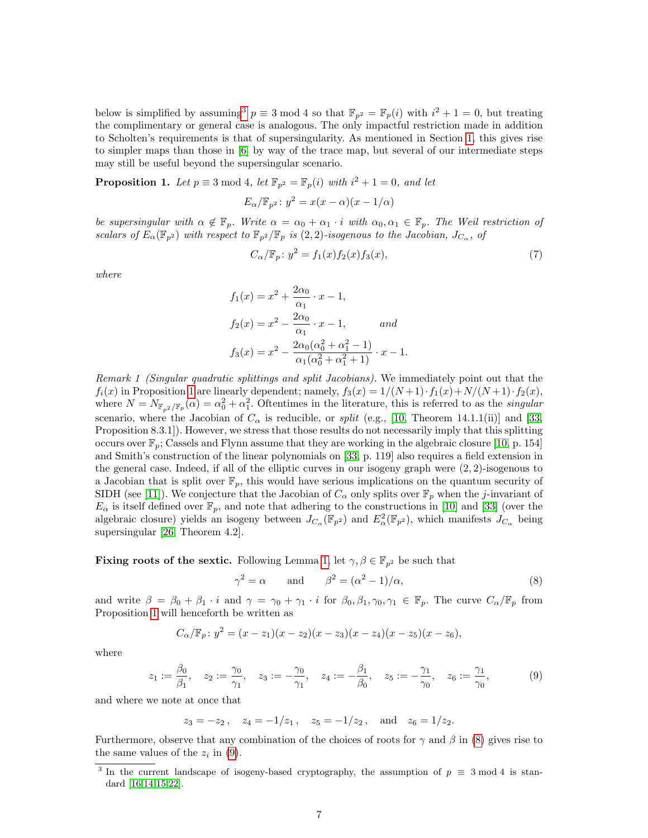below is simplified by assuming<sup>[3](#page-6-1)</sup>  $p \equiv 3 \mod 4$  so that  $\mathbb{F}_{p^2} = \mathbb{F}_p(i)$  with  $i^2 + 1 = 0$ , but treating the complimentary or general case is analogous. The only impactful restriction made in addition to Scholten's requirements is that of supersingularity. As mentioned in Section [1,](#page-0-0) this gives rise to simpler maps than those in [\[6\]](#page-20-5) by way of the trace map, but several of our intermediate steps may still be useful beyond the supersingular scenario.

<span id="page-6-0"></span>**Proposition 1.** Let  $p \equiv 3 \mod 4$ , let  $\mathbb{F}_{p^2} = \mathbb{F}_p(i)$  with  $i^2 + 1 = 0$ , and let

$$
E_{\alpha}/\mathbb{F}_{p^2}: y^2 = x(x - \alpha)(x - 1/\alpha)
$$

be supersingular with  $\alpha \notin \mathbb{F}_p$ . Write  $\alpha = \alpha_0 + \alpha_1 \cdot i$  with  $\alpha_0, \alpha_1 \in \mathbb{F}_p$ . The Weil restriction of scalars of  $E_\alpha(\mathbb{F}_{p^2})$  with respect to  $\mathbb{F}_{p^2}/\mathbb{F}_p$  is  $(2, 2)$ -isogenous to the Jacobian,  $J_{C_\alpha}$ , of

<span id="page-6-4"></span>
$$
C_{\alpha}/\mathbb{F}_p: y^2 = f_1(x)f_2(x)f_3(x),
$$
\n(7)

where

$$
f_1(x) = x^2 + \frac{2\alpha_0}{\alpha_1} \cdot x - 1,
$$
  
\n
$$
f_2(x) = x^2 - \frac{2\alpha_0}{\alpha_1} \cdot x - 1,
$$
 and  
\n
$$
f_3(x) = x^2 - \frac{2\alpha_0(\alpha_0^2 + \alpha_1^2 - 1)}{\alpha_1(\alpha_0^2 + \alpha_1^2 + 1)} \cdot x - 1.
$$

Remark 1 (Singular quadratic splittings and split Jacobians). We immediately point out that the  $f_i(x)$  in Proposition [1](#page-6-0) are linearly dependent; namely,  $f_3(x) = 1/(N+1)\cdot f_1(x) + N/(N+1)\cdot f_2(x)$ , where  $N = N_{\mathbb{F}_{p^2}/\mathbb{F}_p}(\alpha) = \alpha_0^2 + \alpha_1^2$ . Oftentimes in the literature, this is referred to as the *singular* scenario, where the Jacobian of  $C_{\alpha}$  is reducible, or *split* (e.g., [\[10,](#page-20-6) Theorem 14.1.1(ii)] and [\[33,](#page-21-5) Proposition 8.3.1]). However, we stress that those results do not necessarily imply that this splitting occurs over  $\mathbb{F}_p$ ; Cassels and Flynn assume that they are working in the algebraic closure [\[10,](#page-20-6) p. 154] and Smith's construction of the linear polynomials on [\[33,](#page-21-5) p. 119] also requires a field extension in the general case. Indeed, if all of the elliptic curves in our isogeny graph were (2, 2)-isogenous to a Jacobian that is split over  $\mathbb{F}_p$ , this would have serious implications on the quantum security of SIDH (see [\[11\]](#page-20-14)). We conjecture that the Jacobian of  $C_{\alpha}$  only splits over  $\mathbb{F}_p$  when the j-invariant of  $E_{\alpha}$  is itself defined over  $\mathbb{F}_p$ , and note that adhering to the constructions in [\[10\]](#page-20-6) and [\[33\]](#page-21-5) (over the algebraic closure) yields an isogeny between  $J_{C_{\alpha}}(\mathbb{F}_{p^2})$  and  $E_{\alpha}^2(\mathbb{F}_{p^2})$ , which manifests  $J_{C_{\alpha}}$  being supersingular [\[26,](#page-20-15) Theorem 4.2].

## **Fixing roots of the sextic.** Following Lemma [1,](#page-3-2) let  $\gamma, \beta \in \mathbb{F}_{p^2}$  be such that

<span id="page-6-3"></span><span id="page-6-2"></span>
$$
\gamma^2 = \alpha \qquad \text{and} \qquad \beta^2 = (\alpha^2 - 1)/\alpha,\tag{8}
$$

and write  $\beta = \beta_0 + \beta_1 \cdot i$  and  $\gamma = \gamma_0 + \gamma_1 \cdot i$  for  $\beta_0, \beta_1, \gamma_0, \gamma_1 \in \mathbb{F}_p$ . The curve  $C_{\alpha}/\mathbb{F}_p$  from Proposition [1](#page-6-0) will henceforth be written as

$$
C_{\alpha}/\mathbb{F}_p: y^2 = (x - z_1)(x - z_2)(x - z_3)(x - z_4)(x - z_5)(x - z_6),
$$

where

$$
z_1 := \frac{\beta_0}{\beta_1}, \quad z_2 := \frac{\gamma_0}{\gamma_1}, \quad z_3 := -\frac{\gamma_0}{\gamma_1}, \quad z_4 := -\frac{\beta_1}{\beta_0}, \quad z_5 := -\frac{\gamma_1}{\gamma_0}, \quad z_6 := \frac{\gamma_1}{\gamma_0}, \tag{9}
$$

and where we note at once that

 $z_3 = -z_2$ ,  $z_4 = -1/z_1$ ,  $z_5 = -1/z_2$ , and  $z_6 = 1/z_2$ .

Furthermore, observe that any combination of the choices of roots for  $\gamma$  and  $\beta$  in [\(8\)](#page-6-2) gives rise to the same values of the  $z_i$  in [\(9\)](#page-6-3).

<span id="page-6-1"></span><sup>&</sup>lt;sup>3</sup> In the current landscape of isogeny-based cryptography, the assumption of  $p \equiv 3 \mod 4$  is standard [\[16](#page-20-2)[,14,](#page-20-3)[15](#page-20-4)[,22\]](#page-20-0).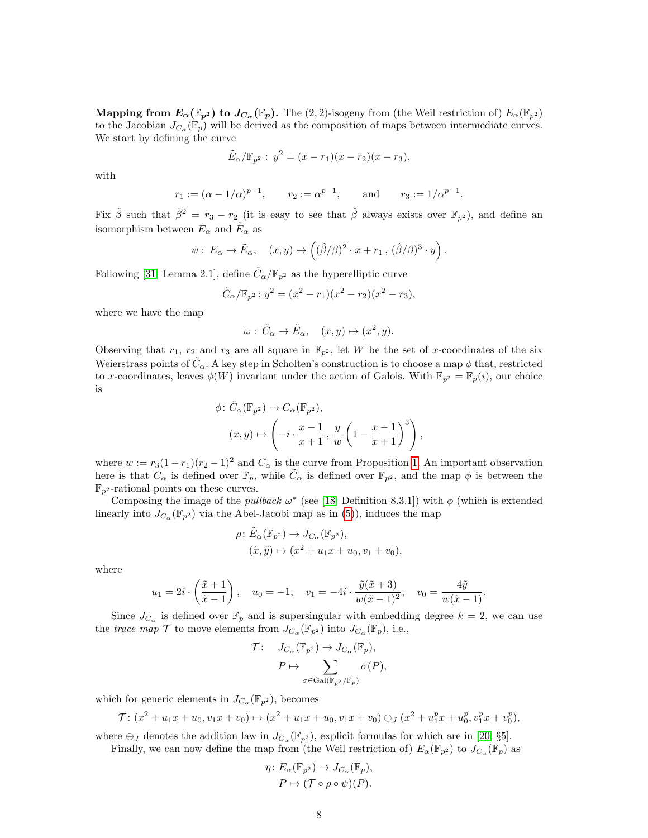Mapping from  $E_{\alpha}(\mathbb{F}_{p^2})$  to  $J_{C_{\alpha}}(\mathbb{F}_p)$ . The  $(2, 2)$ -isogeny from (the Weil restriction of)  $E_{\alpha}(\mathbb{F}_{p^2})$ to the Jacobian  $J_{C_{\alpha}}(\mathbb{F}_p)$  will be derived as the composition of maps between intermediate curves. We start by defining the curve

$$
\tilde{E}_{\alpha}/\mathbb{F}_{p^2}: y^2 = (x - r_1)(x - r_2)(x - r_3),
$$

with

$$
r_1 := (\alpha - 1/\alpha)^{p-1}
$$
,  $r_2 := \alpha^{p-1}$ , and  $r_3 := 1/\alpha^{p-1}$ .

Fix  $\hat{\beta}$  such that  $\hat{\beta}^2 = r_3 - r_2$  (it is easy to see that  $\hat{\beta}$  always exists over  $\mathbb{F}_{p^2}$ ), and define an isomorphism between  $E_{\alpha}$  and  $\tilde{E}_{\alpha}$  as

$$
\psi: E_{\alpha} \to \tilde{E}_{\alpha}, \quad (x, y) \mapsto \left( (\hat{\beta}/\beta)^2 \cdot x + r_1 , (\hat{\beta}/\beta)^3 \cdot y \right).
$$

Following [\[31,](#page-21-1) Lemma 2.1], define  $\tilde{C}_{\alpha}/\mathbb{F}_{p^2}$  as the hyperelliptic curve

$$
\tilde{C}_{\alpha}/\mathbb{F}_{p^2}: y^2 = (x^2 - r_1)(x^2 - r_2)(x^2 - r_3),
$$

where we have the map

$$
\omega: \tilde{C}_{\alpha} \to \tilde{E}_{\alpha}, \quad (x, y) \mapsto (x^2, y).
$$

Observing that  $r_1$ ,  $r_2$  and  $r_3$  are all square in  $\mathbb{F}_{p^2}$ , let W be the set of x-coordinates of the six Weierstrass points of  $\tilde{C}_{\alpha}$ . A key step in Scholten's construction is to choose a map  $\phi$  that, restricted to x-coordinates, leaves  $\phi(W)$  invariant under the action of Galois. With  $\mathbb{F}_{p^2} = \mathbb{F}_p(i)$ , our choice is

$$
\phi \colon \tilde{C}_{\alpha}(\mathbb{F}_{p^2}) \to C_{\alpha}(\mathbb{F}_{p^2}),
$$

$$
(x, y) \mapsto \left(-i \cdot \frac{x-1}{x+1}, \frac{y}{w} \left(1 - \frac{x-1}{x+1}\right)^3\right),
$$

where  $w := r_3(1 - r_1)(r_2 - 1)^2$  and  $C_\alpha$  is the curve from Proposition [1.](#page-6-0) An important observation here is that  $C_{\alpha}$  is defined over  $\mathbb{F}_p$ , while  $\tilde{C}_{\alpha}$  is defined over  $\mathbb{F}_{p^2}$ , and the map  $\phi$  is between the  $\mathbb{F}_{p^2}$ -rational points on these curves.

Composing the image of the *pullback*  $\omega^*$  (see [\[18,](#page-20-12) Definition 8.3.1]) with  $\phi$  (which is extended linearly into  $J_{C_{\alpha}}(\mathbb{F}_{p^2})$  via the Abel-Jacobi map as in [\(5\)](#page-4-1)), induces the map

$$
\rho: \tilde{E}_{\alpha}(\mathbb{F}_{p^2}) \to J_{C_{\alpha}}(\mathbb{F}_{p^2}),
$$
  

$$
(\tilde{x}, \tilde{y}) \mapsto (x^2 + u_1 x + u_0, v_1 + v_0),
$$

where

$$
u_1 = 2i \cdot \left(\frac{\tilde{x}+1}{\tilde{x}-1}\right), \quad u_0 = -1, \quad v_1 = -4i \cdot \frac{\tilde{y}(\tilde{x}+3)}{w(\tilde{x}-1)^2}, \quad v_0 = \frac{4\tilde{y}}{w(\tilde{x}-1)}.
$$

Since  $J_{C_{\alpha}}$  is defined over  $\mathbb{F}_p$  and is supersingular with embedding degree  $k = 2$ , we can use the trace map  $\mathcal T$  to move elements from  $J_{C_\alpha}(\mathbb F_{p^2})$  into  $J_{C_\alpha}(\mathbb F_p)$ , i.e.,

$$
\mathcal{T}: \quad J_{C_{\alpha}}(\mathbb{F}_{p^2}) \to J_{C_{\alpha}}(\mathbb{F}_p),
$$

$$
P \mapsto \sum_{\sigma \in \text{Gal}(\mathbb{F}_{p^2}/\mathbb{F}_p)} \sigma(P),
$$

which for generic elements in  $J_{C_{\alpha}}(\mathbb{F}_{p^2})$ , becomes

$$
\mathcal{T}: (x^2 + u_1 x + u_0, v_1 x + v_0) \mapsto (x^2 + u_1 x + u_0, v_1 x + v_0) \oplus_J (x^2 + u_1^p x + u_0^p, v_1^p x + v_0^p),
$$

where  $\oplus_J$  denotes the addition law in  $J_{C_\alpha}(\mathbb{F}_{p^2})$ , explicit formulas for which are in [\[20,](#page-20-16) §5]. Finally, we can now define the map from (the Weil restriction of)  $E_{\alpha}(\mathbb{F}_{p^2})$  to  $J_{C_{\alpha}}(\mathbb{F}_p)$  as

$$
\eta\colon E_{\alpha}(\mathbb{F}_{p^2}) \to J_{C_{\alpha}}(\mathbb{F}_p),
$$

$$
P \mapsto (\mathcal{T} \circ \rho \circ \psi)(P).
$$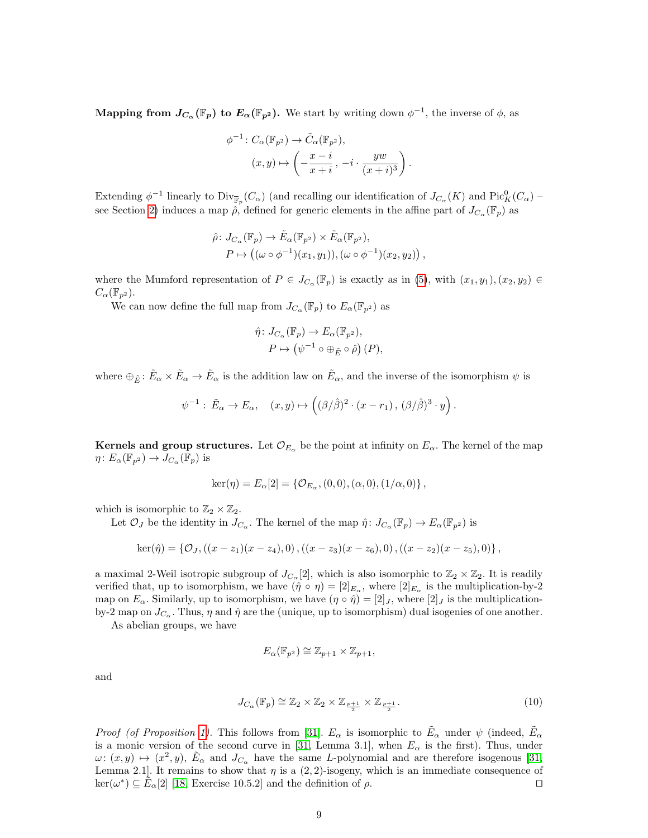**Mapping from**  $J_{C_{\alpha}}(\mathbb{F}_p)$  to  $E_{\alpha}(\mathbb{F}_{p^2})$ . We start by writing down  $\phi^{-1}$ , the inverse of  $\phi$ , as

$$
\phi^{-1}: C_{\alpha}(\mathbb{F}_{p^2}) \to \tilde{C}_{\alpha}(\mathbb{F}_{p^2}),
$$

$$
(x, y) \mapsto \left(-\frac{x-i}{x+i}, -i \cdot \frac{yw}{(x+i)^3}\right).
$$

Extending  $\phi^{-1}$  linearly to  $\text{Div}_{\overline{\mathbb{F}}_p}(C_\alpha)$  (and recalling our identification of  $J_{C_\alpha}(K)$  and  $\text{Pic}_K^0(C_\alpha)$  – see Section [2\)](#page-2-1) induces a map  $\rho$ , defined for generic elements in the affine part of  $J_{C_{\alpha}}(\mathbb{F}_p)$  as

$$
\hat{\rho} \colon J_{C_{\alpha}}(\mathbb{F}_p) \to \tilde{E}_{\alpha}(\mathbb{F}_{p^2}) \times \tilde{E}_{\alpha}(\mathbb{F}_{p^2}),
$$
  
\n
$$
P \mapsto ((\omega \circ \phi^{-1})(x_1, y_1)), (\omega \circ \phi^{-1})(x_2, y_2)),
$$

where the Mumford representation of  $P \in J_{C_\alpha}(\mathbb{F}_p)$  is exactly as in [\(5\)](#page-4-1), with  $(x_1, y_1), (x_2, y_2) \in$  $C_{\alpha}(\mathbb{F}_{p^2}).$ 

We can now define the full map from  $J_{C_{\alpha}}(\mathbb{F}_p)$  to  $E_{\alpha}(\mathbb{F}_{p^2})$  as

$$
\hat{\eta} \colon J_{C_{\alpha}}(\mathbb{F}_p) \to E_{\alpha}(\mathbb{F}_{p^2}), P \mapsto (\psi^{-1} \circ \oplus_{\tilde{E}} \circ \hat{\rho}) (P),
$$

where  $\oplus_{\tilde{E}}\colon \tilde{E}_{\alpha}\times \tilde{E}_{\alpha} \to \tilde{E}_{\alpha}$  is the addition law on  $\tilde{E}_{\alpha}$ , and the inverse of the isomorphism  $\psi$  is

$$
\psi^{-1} : \tilde{E}_{\alpha} \to E_{\alpha}, \quad (x, y) \mapsto \left( (\beta/\hat{\beta})^2 \cdot (x - r_1), \, (\beta/\hat{\beta})^3 \cdot y \right).
$$

**Kernels and group structures.** Let  $\mathcal{O}_{E_{\alpha}}$  be the point at infinity on  $E_{\alpha}$ . The kernel of the map  $\eta: E_{\alpha}(\mathbb{F}_{p^2}) \to \overline{J_{C_{\alpha}}(\mathbb{F}_p)}$  is

$$
ker(\eta) = E_{\alpha}[2] = \{ \mathcal{O}_{E_{\alpha}}, (0,0), (\alpha,0), (1/\alpha,0) \},
$$

which is isomorphic to  $\mathbb{Z}_2 \times \mathbb{Z}_2$ .

Let  $\mathcal{O}_J$  be the identity in  $J_{C_\alpha}$ . The kernel of the map  $\hat{\eta} \colon J_{C_\alpha}(\mathbb{F}_p) \to E_\alpha(\mathbb{F}_{p^2})$  is

$$
\ker(\hat{\eta}) = \{ \mathcal{O}_J, ((x-z_1)(x-z_4), 0), ((x-z_3)(x-z_6), 0), ((x-z_2)(x-z_5), 0) \},
$$

a maximal 2-Weil isotropic subgroup of  $J_{C_{\alpha}}[2]$ , which is also isomorphic to  $\mathbb{Z}_2 \times \mathbb{Z}_2$ . It is readily verified that, up to isomorphism, we have  $(\hat{\eta} \circ \eta) = [2]_{E_{\alpha}}$ , where  $[2]_{E_{\alpha}}$  is the multiplication-by-2 map on  $E_\alpha$ . Similarly, up to isomorphism, we have  $(\eta \circ \hat{\eta}) = [2]_J$ , where  $[2]_J$  is the multiplicationby-2 map on  $J_{C_{\alpha}}$ . Thus,  $\eta$  and  $\hat{\eta}$  are the (unique, up to isomorphism) dual isogenies of one another.

As abelian groups, we have

<span id="page-8-0"></span>
$$
E_{\alpha}(\mathbb{F}_{p^2}) \cong \mathbb{Z}_{p+1} \times \mathbb{Z}_{p+1},
$$

and

$$
J_{C_{\alpha}}(\mathbb{F}_p) \cong \mathbb{Z}_2 \times \mathbb{Z}_2 \times \mathbb{Z}_{\frac{p+1}{2}} \times \mathbb{Z}_{\frac{p+1}{2}}.
$$
\n
$$
(10)
$$

*Proof (of Proposition [1\)](#page-6-0).* This follows from [\[31\]](#page-21-1).  $E_\alpha$  is isomorphic to  $\tilde{E}_\alpha$  under  $\psi$  (indeed,  $\tilde{E}_\alpha$ ) is a monic version of the second curve in [\[31,](#page-21-1) Lemma 3.1], when  $E_{\alpha}$  is the first). Thus, under  $\omega: (x, y) \mapsto (x^2, y), \ \tilde{E}_{\alpha}$  and  $J_{C_{\alpha}}$  have the same L-polynomial and are therefore isogenous [\[31,](#page-21-1) Lemma 2.1]. It remains to show that  $\eta$  is a  $(2, 2)$ -isogeny, which is an immediate consequence of  $\ker(\omega^*) \subseteq \tilde{E}_{\alpha}[2]$  [\[18,](#page-20-12) Exercise 10.5.2] and the definition of  $\rho$ .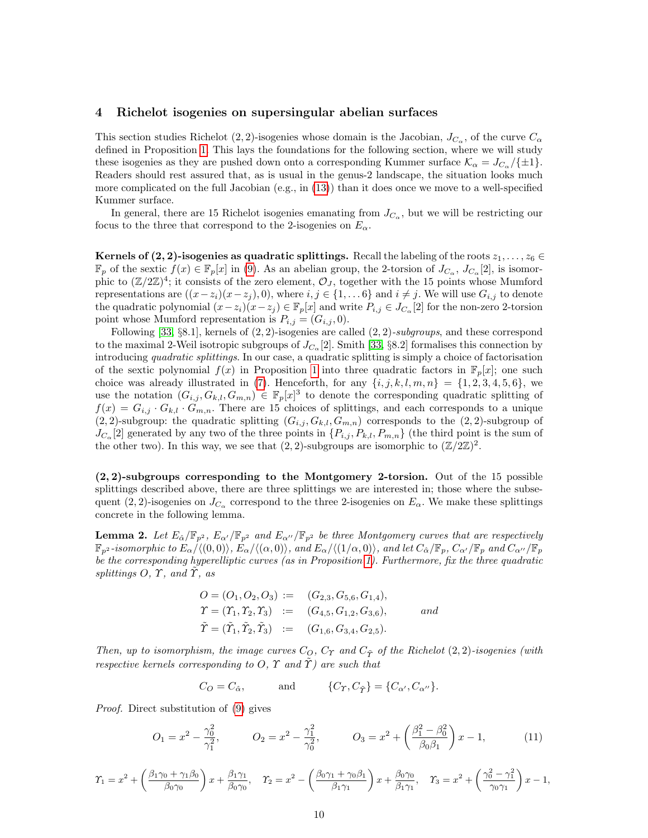### <span id="page-9-0"></span>4 Richelot isogenies on supersingular abelian surfaces

This section studies Richelot (2, 2)-isogenies whose domain is the Jacobian,  $J_{C_{\alpha}}$ , of the curve  $C_{\alpha}$ defined in Proposition [1.](#page-6-0) This lays the foundations for the following section, where we will study these isogenies as they are pushed down onto a corresponding Kummer surface  $\mathcal{K}_{\alpha} = J_{C_{\alpha}}/\{\pm 1\}$ . Readers should rest assured that, as is usual in the genus-2 landscape, the situation looks much more complicated on the full Jacobian (e.g., in [\(13\)](#page-10-0)) than it does once we move to a well-specified Kummer surface.

In general, there are 15 Richelot isogenies emanating from  $J_{C_{\alpha}}$ , but we will be restricting our focus to the three that correspond to the 2-isogenies on  $E_{\alpha}$ .

Kernels of (2, 2)-isogenies as quadratic splittings. Recall the labeling of the roots  $z_1, \ldots, z_6 \in$  $\mathbb{F}_p$  of the sextic  $f(x) \in \mathbb{F}_p[x]$  in [\(9\)](#page-6-3). As an abelian group, the 2-torsion of  $J_{C_\alpha}, J_{C_\alpha}[2]$ , is isomorphic to  $(\mathbb{Z}/2\mathbb{Z})^4$ ; it consists of the zero element,  $\mathcal{O}_J$ , together with the 15 points whose Mumford representations are  $((x-z_i)(x-z_j), 0)$ , where  $i, j \in \{1, \ldots 6\}$  and  $i \neq j$ . We will use  $G_{i,j}$  to denote the quadratic polynomial  $(x-z_i)(x-z_j) \in \mathbb{F}_p[x]$  and write  $P_{i,j} \in J_{C_\alpha}[2]$  for the non-zero 2-torsion point whose Mumford representation is  $P_{i,j} = (G_{i,j}, 0)$ .

Following [\[33,](#page-21-5) §8.1], kernels of  $(2, 2)$ -isogenies are called  $(2, 2)$ -subgroups, and these correspond to the maximal 2-Weil isotropic subgroups of  $J_{C_{\alpha}}[2]$ . Smith [\[33,](#page-21-5) §8.2] formalises this connection by introducing quadratic splittings. In our case, a quadratic splitting is simply a choice of factorisation of the sextic polynomial  $f(x)$  in Proposition [1](#page-6-0) into three quadratic factors in  $\mathbb{F}_p[x]$ ; one such choice was already illustrated in [\(7\)](#page-6-4). Henceforth, for any  $\{i, j, k, l, m, n\} = \{1, 2, 3, 4, 5, 6\}$ , we use the notation  $(G_{i,j}, G_{k,l}, G_{m,n}) \in \mathbb{F}_p[x]^3$  to denote the corresponding quadratic splitting of  $f(x) = G_{i,j} \cdot G_{k,l} \cdot G_{m,n}$ . There are 15 choices of splittings, and each corresponds to a unique  $(2, 2)$ -subgroup: the quadratic splitting  $(G_{i,j}, G_{k,l}, G_{m,n})$  corresponds to the  $(2, 2)$ -subgroup of  $J_{C_{\alpha}}[2]$  generated by any two of the three points in  $\{P_{i,j}, P_{k,l}, P_{m,n}\}$  (the third point is the sum of the other two). In this way, we see that  $(2, 2)$ -subgroups are isomorphic to  $(\mathbb{Z}/2\mathbb{Z})^2$ .

(2, 2)-subgroups corresponding to the Montgomery 2-torsion. Out of the 15 possible splittings described above, there are three splittings we are interested in; those where the subsequent (2, 2)-isogenies on  $J_{C_{\alpha}}$  correspond to the three 2-isogenies on  $E_{\alpha}$ . We make these splittings concrete in the following lemma.

<span id="page-9-1"></span>**Lemma 2.** Let  $E_{\hat{\alpha}}/F_{p^2}$ ,  $E_{\alpha}/F_{p^2}$  and  $E_{\alpha'}/F_{p^2}$  be three Montgomery curves that are respectively  $\mathbb{F}_{p^2}$ -isomorphic to  $E_\alpha/\langle(0,0)\rangle$ ,  $E_\alpha/\langle(\alpha, 0)\rangle$ , and  $E_\alpha/\langle(1/\alpha, 0)\rangle$ , and let  $C_{\hat{\alpha}}/\mathbb{F}_p$ ,  $C_{\alpha'}/\mathbb{F}_p$  and  $C_{\alpha''}/\mathbb{F}_p$ be the corresponding hyperelliptic curves (as in Proposition [1\)](#page-6-0). Furthermore, fix the three quadratic splittings  $O, \Upsilon$ , and  $\Upsilon$ , as

$$
O = (O_1, O_2, O_3) := (G_{2,3}, G_{5,6}, G_{1,4}),
$$
  
\n
$$
\Upsilon = (\Upsilon_1, \Upsilon_2, \Upsilon_3) := (G_{4,5}, G_{1,2}, G_{3,6}),
$$
 and  
\n
$$
\tilde{\Upsilon} = (\tilde{\Upsilon}_1, \tilde{\Upsilon}_2, \tilde{\Upsilon}_3) := (G_{1,6}, G_{3,4}, G_{2,5}).
$$

Then, up to isomorphism, the image curves  $C_O$ ,  $C_T$  and  $C_{\tilde{T}}$  of the Richelot (2, 2)-isogenies (with respective kernels corresponding to O,  $\Upsilon$  and  $\tilde{\Upsilon}$ ) are such that

<span id="page-9-2"></span>
$$
C_O = C_{\hat{\alpha}},
$$
 and  $\{C_T, C_{\tilde{T}}\} = \{C_{\alpha'}, C_{\alpha''}\}.$ 

Proof. Direct substitution of [\(9\)](#page-6-3) gives

$$
O_1 = x^2 - \frac{\gamma_0^2}{\gamma_1^2}, \qquad O_2 = x^2 - \frac{\gamma_1^2}{\gamma_0^2}, \qquad O_3 = x^2 + \left(\frac{\beta_1^2 - \beta_0^2}{\beta_0 \beta_1}\right) x - 1,\tag{11}
$$

$$
\Upsilon_1 = x^2 + \left(\frac{\beta_1\gamma_0 + \gamma_1\beta_0}{\beta_0\gamma_0}\right)x + \frac{\beta_1\gamma_1}{\beta_0\gamma_0}, \quad \Upsilon_2 = x^2 - \left(\frac{\beta_0\gamma_1 + \gamma_0\beta_1}{\beta_1\gamma_1}\right)x + \frac{\beta_0\gamma_0}{\beta_1\gamma_1}, \quad \Upsilon_3 = x^2 + \left(\frac{\gamma_0^2 - \gamma_1^2}{\gamma_0\gamma_1}\right)x - 1,
$$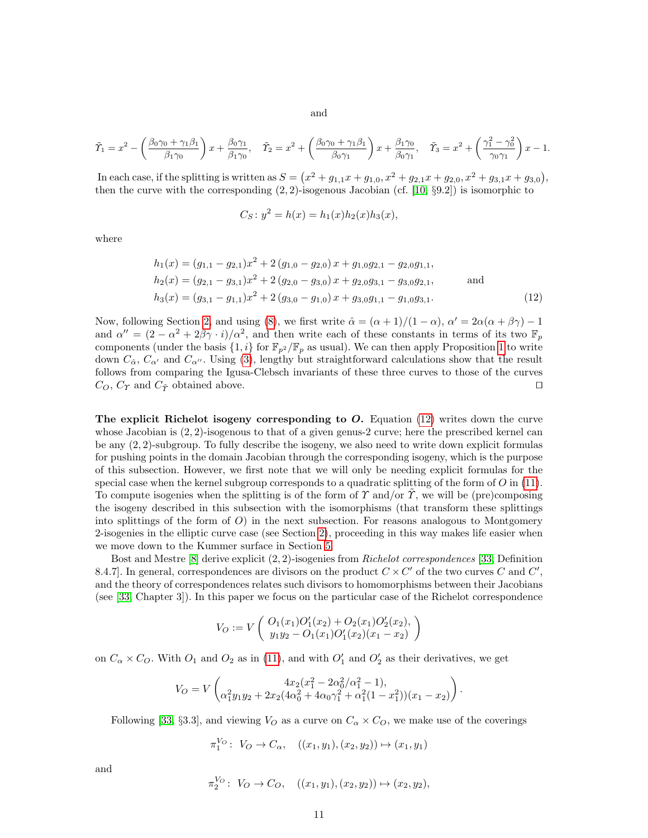<span id="page-10-1"></span>and

$$
\tilde{\Upsilon}_1 = x^2 - \left(\frac{\beta_0 \gamma_0 + \gamma_1 \beta_1}{\beta_1 \gamma_0}\right) x + \frac{\beta_0 \gamma_1}{\beta_1 \gamma_0}, \quad \tilde{\Upsilon}_2 = x^2 + \left(\frac{\beta_0 \gamma_0 + \gamma_1 \beta_1}{\beta_0 \gamma_1}\right) x + \frac{\beta_1 \gamma_0}{\beta_0 \gamma_1}, \quad \tilde{\Upsilon}_3 = x^2 + \left(\frac{\gamma_1^2 - \gamma_0^2}{\gamma_0 \gamma_1}\right) x - 1.
$$

In each case, if the splitting is written as  $S = (x^2 + g_{1,1}x + g_{1,0}, x^2 + g_{2,1}x + g_{2,0}, x^2 + g_{3,1}x + g_{3,0}),$ then the curve with the corresponding  $(2, 2)$ -isogenous Jacobian (cf. [\[10,](#page-20-6) §9.2]) is isomorphic to

$$
C_S: y^2 = h(x) = h_1(x)h_2(x)h_3(x),
$$

where

$$
h_1(x) = (g_{1,1} - g_{2,1})x^2 + 2(g_{1,0} - g_{2,0})x + g_{1,0}g_{2,1} - g_{2,0}g_{1,1},
$$
  
\n
$$
h_2(x) = (g_{2,1} - g_{3,1})x^2 + 2(g_{2,0} - g_{3,0})x + g_{2,0}g_{3,1} - g_{3,0}g_{2,1},
$$
 and  
\n
$$
h_3(x) = (g_{3,1} - g_{1,1})x^2 + 2(g_{3,0} - g_{1,0})x + g_{3,0}g_{1,1} - g_{1,0}g_{3,1}.
$$
 (12)

Now, following Section [2,](#page-2-1) and using [\(8\)](#page-6-2), we first write  $\hat{\alpha} = (\alpha + 1)/(1 - \alpha)$ ,  $\alpha' = 2\alpha(\alpha + \beta\gamma) - 1$ and  $\alpha'' = (2 - \alpha^2 + 2\beta\gamma \cdot i)/\alpha^2$ , and then write each of these constants in terms of its two  $\mathbb{F}_p$ components (under the basis  $\{1, i\}$  for  $\mathbb{F}_{p^2}/\mathbb{F}_p$  as usual). We can then apply Proposition [1](#page-6-0) to write down  $C_{\hat{\alpha}}$ ,  $C_{\alpha'}$  and  $C_{\alpha''}$ . Using [\(3\)](#page-3-3), lengthy but straightforward calculations show that the result follows from comparing the Igusa-Clebsch invariants of these three curves to those of the curves  $C_O$ ,  $C_T$  and  $C_{\tilde{T}}$  obtained above.

The explicit Richelot isogeny corresponding to  $O$ . Equation [\(12\)](#page-10-1) writes down the curve whose Jacobian is  $(2, 2)$ -isogenous to that of a given genus-2 curve; here the prescribed kernel can be any (2, 2)-subgroup. To fully describe the isogeny, we also need to write down explicit formulas for pushing points in the domain Jacobian through the corresponding isogeny, which is the purpose of this subsection. However, we first note that we will only be needing explicit formulas for the special case when the kernel subgroup corresponds to a quadratic splitting of the form of  $O$  in [\(11\)](#page-9-2). To compute isogenies when the splitting is of the form of  $\gamma$  and/or  $\hat{\gamma}$ , we will be (pre)composing the isogeny described in this subsection with the isomorphisms (that transform these splittings into splittings of the form of  $O$ ) in the next subsection. For reasons analogous to Montgomery 2-isogenies in the elliptic curve case (see Section [2\)](#page-2-1), proceeding in this way makes life easier when we move down to the Kummer surface in Section [5.](#page-12-0)

Bost and Mestre  $[8]$  derive explicit  $(2, 2)$ -isogenies from *Richelot correspondences* [\[33,](#page-21-5) Definition 8.4.7. In general, correspondences are divisors on the product  $C \times C'$  of the two curves C and  $C'$ , and the theory of correspondences relates such divisors to homomorphisms between their Jacobians (see [\[33,](#page-21-5) Chapter 3]). In this paper we focus on the particular case of the Richelot correspondence

<span id="page-10-0"></span>
$$
V_O := V\left(\begin{array}{c} O_1(x_1)O'_1(x_2) + O_2(x_1)O'_2(x_2), \\ y_1y_2 - O_1(x_1)O'_1(x_2)(x_1 - x_2) \end{array}\right)
$$

on  $C_{\alpha} \times C_{\mathcal{O}}$ . With  $O_1$  and  $O_2$  as in [\(11\)](#page-9-2), and with  $O'_1$  and  $O'_2$  as their derivatives, we get

$$
V_O = V\begin{pmatrix} 4x_2(x_1^2 - 2\alpha_0^2/\alpha_1^2 - 1), \\ \alpha_1^2y_1y_2 + 2x_2(4\alpha_0^2 + 4\alpha_0\gamma_1^2 + \alpha_1^2(1 - x_1^2))(x_1 - x_2) \end{pmatrix}.
$$

Following [\[33,](#page-21-5) §3.3], and viewing  $V_O$  as a curve on  $C_\alpha \times C_O$ , we make use of the coverings

$$
\pi_1^{V_O}: V_O \to C_{\alpha}, \quad ((x_1, y_1), (x_2, y_2)) \mapsto (x_1, y_1)
$$

and

$$
\pi_2^{V_O}:\ V_O \to C_O, \quad ((x_1, y_1), (x_2, y_2)) \mapsto (x_2, y_2),
$$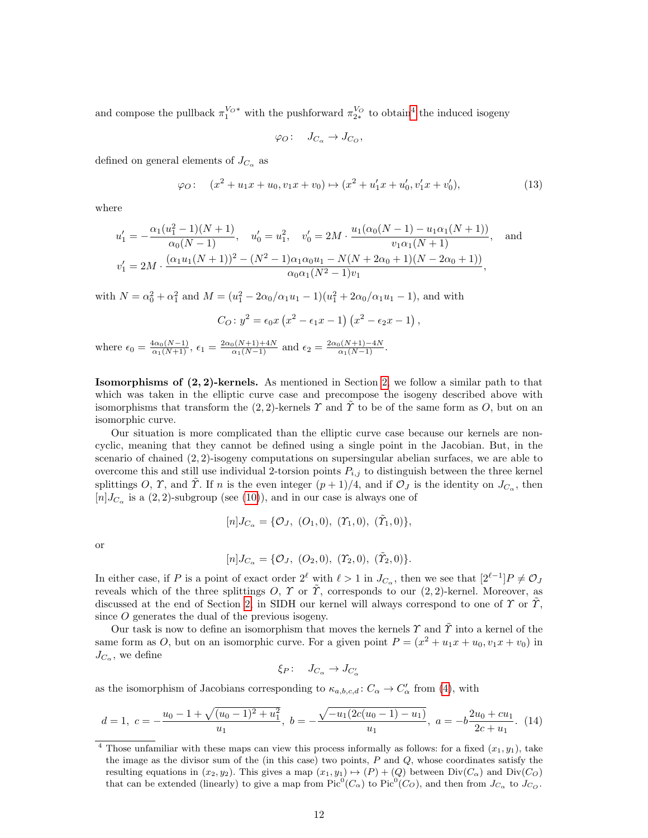and compose the pullback  $\pi_1^{V_O*}$  with the pushforward  $\pi_{2*}^{V_O}$  to obtain<sup>[4](#page-11-0)</sup> the induced isogeny

$$
\varphi_O: \quad J_{C_\alpha} \to J_{C_O},
$$

defined on general elements of  $J_{C_{\alpha}}$  as

$$
\varphi_O: \quad (x^2 + u_1 x + u_0, v_1 x + v_0) \mapsto (x^2 + u_1' x + u_0', v_1' x + v_0'),\tag{13}
$$

where

$$
u'_1 = -\frac{\alpha_1(u_1^2 - 1)(N + 1)}{\alpha_0(N - 1)}, \quad u'_0 = u_1^2, \quad v'_0 = 2M \cdot \frac{u_1(\alpha_0(N - 1) - u_1\alpha_1(N + 1))}{v_1\alpha_1(N + 1)}, \quad \text{and}
$$

$$
v'_1 = 2M \cdot \frac{(\alpha_1 u_1(N + 1))^2 - (N^2 - 1)\alpha_1\alpha_0u_1 - N(N + 2\alpha_0 + 1)(N - 2\alpha_0 + 1))}{\alpha_0\alpha_1(N^2 - 1)v_1},
$$

with  $N = \alpha_0^2 + \alpha_1^2$  and  $M = (u_1^2 - 2\alpha_0/\alpha_1u_1 - 1)(u_1^2 + 2\alpha_0/\alpha_1u_1 - 1)$ , and with

$$
C_O: y^2 = \epsilon_0 x (x^2 - \epsilon_1 x - 1) (x^2 - \epsilon_2 x - 1),
$$
  

$$
C_O: y^2 = \epsilon_0 x (x + 1) + 4N
$$

where  $\epsilon_0 = \frac{4\alpha_0(N-1)}{\alpha_1(N+1)}$ ,  $\epsilon_1 = \frac{2\alpha_0(N+1)+4N}{\alpha_1(N-1)}$  and  $\epsilon_2 = \frac{2\alpha_0(N+1)-4N}{\alpha_1(N-1)}$ .

Isomorphisms of (2, 2)-kernels. As mentioned in Section [2,](#page-2-1) we follow a similar path to that which was taken in the elliptic curve case and precompose the isogeny described above with isomorphisms that transform the (2, 2)-kernels  $\Upsilon$  and  $\tilde{\Upsilon}$  to be of the same form as O, but on an isomorphic curve.

Our situation is more complicated than the elliptic curve case because our kernels are noncyclic, meaning that they cannot be defined using a single point in the Jacobian. But, in the scenario of chained  $(2, 2)$ -isogeny computations on supersingular abelian surfaces, we are able to overcome this and still use individual 2-torsion points  $P_{i,j}$  to distinguish between the three kernel splittings O,  $\gamma$ , and  $\tilde{\gamma}$ . If n is the even integer  $(p+1)/4$ , and if  $\mathcal{O}_J$  is the identity on  $J_{C_{\alpha}}$ , then  $[n]$  $I_{C_{\alpha}}$  is a  $(2, 2)$ -subgroup (see  $(10)$ ), and in our case is always one of

$$
[n]J_{C_{\alpha}} = \{O_J, (O_1, 0), (T_1, 0), (\tilde{T}_1, 0)\},\
$$

or

$$
[n]J_{C_{\alpha}} = \{O_J, (O_2, 0), (T_2, 0), (\tilde{T}_2, 0)\}.
$$

In either case, if P is a point of exact order  $2^{\ell}$  with  $\ell > 1$  in  $J_{C_{\alpha}}$ , then we see that  $[2^{\ell-1}]P \neq \mathcal{O}_J$ reveals which of the three splittings O,  $\Upsilon$  or  $\tilde{\Upsilon}$ , corresponds to our  $(2, 2)$ -kernel. Moreover, as discussed at the end of Section [2,](#page-2-1) in SIDH our kernel will always correspond to one of  $\Upsilon$  or  $\Upsilon$ , since O generates the dual of the previous isogeny.

Our task is now to define an isomorphism that moves the kernels  $\gamma$  and  $\tilde{\gamma}$  into a kernel of the same form as O, but on an isomorphic curve. For a given point  $P = (x^2 + u_1x + u_0, v_1x + v_0)$  in  $J_{C_{\alpha}}$ , we define

<span id="page-11-1"></span>
$$
\xi_P\colon\quad J_{C_\alpha}\to J_{C'_\alpha}
$$

as the isomorphism of Jacobians corresponding to  $\kappa_{a,b,c,d}: C_{\alpha} \to C_{\alpha}'$  from [\(4\)](#page-4-0), with

$$
d = 1, \ c = -\frac{u_0 - 1 + \sqrt{(u_0 - 1)^2 + u_1^2}}{u_1}, \ b = -\frac{\sqrt{-u_1(2c(u_0 - 1) - u_1)}}{u_1}, \ a = -b\frac{2u_0 + cu_1}{2c + u_1}.
$$
 (14)

<span id="page-11-0"></span><sup>&</sup>lt;sup>4</sup> Those unfamiliar with these maps can view this process informally as follows: for a fixed  $(x_1, y_1)$ , take the image as the divisor sum of the (in this case) two points,  $P$  and  $Q$ , whose coordinates satisfy the resulting equations in  $(x_2, y_2)$ . This gives a map  $(x_1, y_1) \rightarrow (P) + (Q)$  between  $Div(C_{\alpha})$  and  $Div(C_{\mathcal{O}})$ that can be extended (linearly) to give a map from  $Pic^0(C_{\alpha})$  to  $Pic^0(C_{\mathcal{O}})$ , and then from  $J_{C_{\alpha}}$  to  $J_{C_{\mathcal{O}}}$ .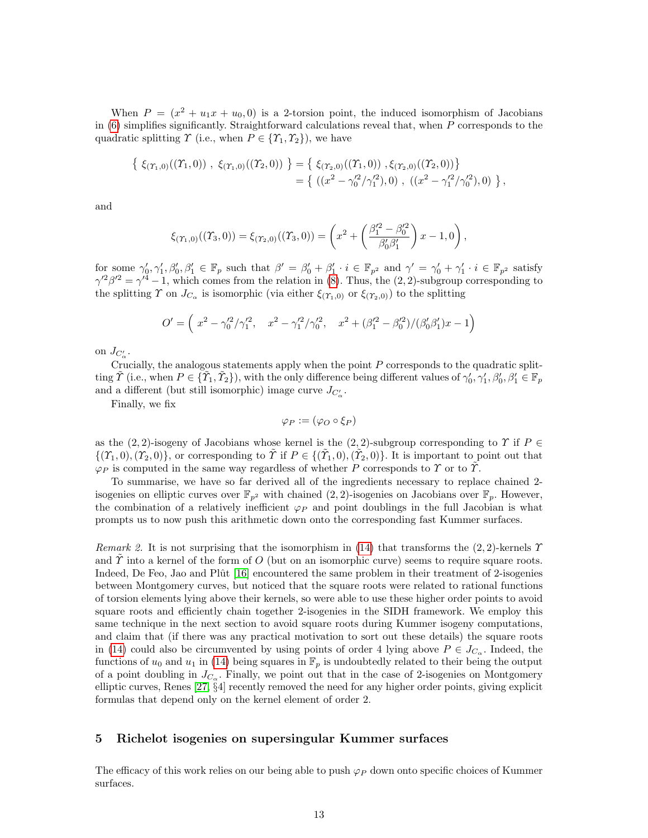When  $P = (x^2 + u_1x + u_0, 0)$  is a 2-torsion point, the induced isomorphism of Jacobians in  $(6)$  simplifies significantly. Straightforward calculations reveal that, when P corresponds to the quadratic splitting  $\Upsilon$  (i.e., when  $P \in \{\Upsilon_1, \Upsilon_2\}$ ), we have

$$
\begin{aligned} \left\{ \xi_{(\Upsilon_1,0)}((\Upsilon_1,0)) \ , \ \xi_{(\Upsilon_1,0)}((\Upsilon_2,0)) \ \right\} &= \left\{ \ \xi_{(\Upsilon_2,0)}((\Upsilon_1,0)) \ , \xi_{(\Upsilon_2,0)}((\Upsilon_2,0)) \right\} \\ &= \left\{ \ ( (x^2 - \gamma_0'^2/\gamma_1'^2), 0) \ , \ ( (x^2 - \gamma_1'^2/\gamma_0'^2), 0) \ \right\}, \end{aligned}
$$

and

$$
\xi_{(\Upsilon_1,0)}((\Upsilon_3,0)) = \xi_{(\Upsilon_2,0)}((\Upsilon_3,0)) = \left(x^2 + \left(\frac{\beta_1^{\prime 2} - \beta_0^{\prime 2}}{\beta_0^{\prime} \beta_1^{\prime}}\right)x - 1,0\right),
$$

for some  $\gamma'_0, \gamma'_1, \beta'_0, \beta'_1 \in \mathbb{F}_p$  such that  $\beta' = \beta'_0 + \beta'_1 \cdot i \in \mathbb{F}_{p^2}$  and  $\gamma' = \gamma'_0 + \gamma'_1 \cdot i \in \mathbb{F}_{p^2}$  satisfy  $\gamma'^2 \beta'^2 = \gamma'^4 - 1$ , which comes from the relation in [\(8\)](#page-6-2). Thus, the (2, 2)-subgroup corresponding to the splitting  $\Upsilon$  on  $J_{C_{\alpha}}$  is isomorphic (via either  $\xi_{(\Upsilon_1,0)}$  or  $\xi_{(\Upsilon_2,0)}$ ) to the splitting

$$
O' = \left(x^2 - \frac{\gamma_0'^2}{\gamma_1'^2}, \quad x^2 - \frac{\gamma_1'^2}{\gamma_0^2}, \quad x^2 + \frac{\beta_1'^2 - \beta_0'^2}{\beta_0^2}\right) (\beta_0' \beta_1') x - 1\right)
$$

on  $J_{C'_\alpha}$ .

Crucially, the analogous statements apply when the point  $P$  corresponds to the quadratic splitting  $\tilde{T}$  (i.e., when  $P \in {\tilde{Y}_1, \tilde{Y}_2}$ ), with the only difference being different values of  $\gamma'_0, \gamma'_1, \beta'_0, \beta'_1 \in \mathbb{F}_p$ and a different (but still isomorphic) image curve  $J_{C'_{\alpha}}$ .

Finally, we fix

$$
\varphi_P := (\varphi_O \circ \xi_P)
$$

as the (2, 2)-isogeny of Jacobians whose kernel is the (2, 2)-subgroup corresponding to  $\Upsilon$  if  $P \in$  $\{(\Upsilon_1,0),(\Upsilon_2,0)\}\)$ , or corresponding to  $\tilde{\Upsilon}$  if  $P \in \{(\tilde{\Upsilon}_1,0),(\tilde{\Upsilon}_2,0)\}\$ . It is important to point out that  $\varphi_P$  is computed in the same way regardless of whether P corresponds to  $\Upsilon$  or to  $\tilde{\Upsilon}$ .

To summarise, we have so far derived all of the ingredients necessary to replace chained 2 isogenies on elliptic curves over  $\mathbb{F}_{p^2}$  with chained  $(2, 2)$ -isogenies on Jacobians over  $\mathbb{F}_p$ . However, the combination of a relatively inefficient  $\varphi_P$  and point doublings in the full Jacobian is what prompts us to now push this arithmetic down onto the corresponding fast Kummer surfaces.

Remark 2. It is not surprising that the isomorphism in [\(14\)](#page-11-1) that transforms the (2,2)-kernels  $\Upsilon$ and  $\gamma$  into a kernel of the form of O (but on an isomorphic curve) seems to require square roots. Indeed, De Feo, Jao and Plût [\[16\]](#page-20-2) encountered the same problem in their treatment of 2-isogenies between Montgomery curves, but noticed that the square roots were related to rational functions of torsion elements lying above their kernels, so were able to use these higher order points to avoid square roots and efficiently chain together 2-isogenies in the SIDH framework. We employ this same technique in the next section to avoid square roots during Kummer isogeny computations, and claim that (if there was any practical motivation to sort out these details) the square roots in [\(14\)](#page-11-1) could also be circumvented by using points of order 4 lying above  $P \in J_{C_{\alpha}}$ . Indeed, the functions of  $u_0$  and  $u_1$  in [\(14\)](#page-11-1) being squares in  $\mathbb{F}_p$  is undoubtedly related to their being the output of a point doubling in  $J_{C_{\alpha}}$ . Finally, we point out that in the case of 2-isogenies on Montgomery elliptic curves, Renes [\[27,](#page-20-13) §4] recently removed the need for any higher order points, giving explicit formulas that depend only on the kernel element of order 2.

### <span id="page-12-0"></span>5 Richelot isogenies on supersingular Kummer surfaces

The efficacy of this work relies on our being able to push  $\varphi_P$  down onto specific choices of Kummer surfaces.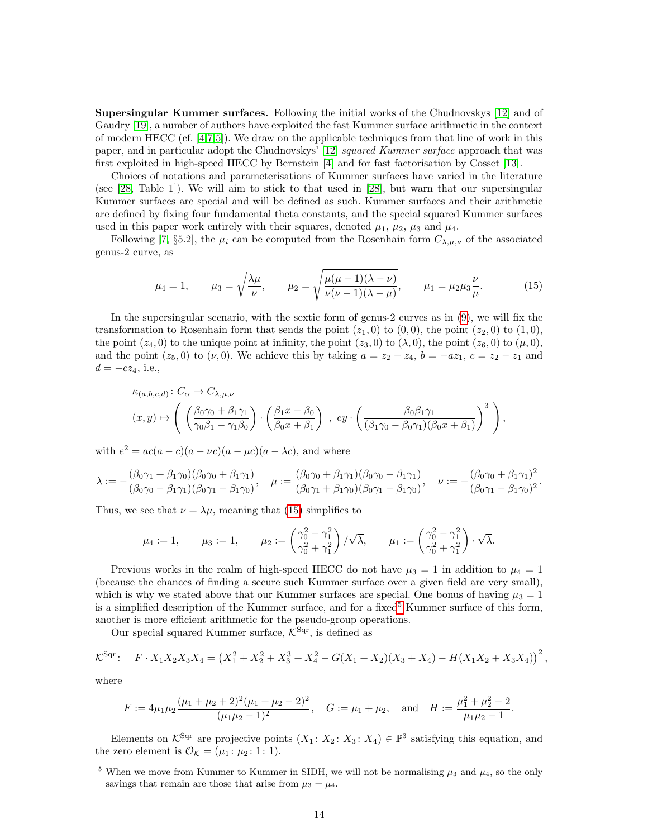Supersingular Kummer surfaces. Following the initial works of the Chudnovskys [\[12\]](#page-20-7) and of Gaudry [\[19\]](#page-20-8), a number of authors have exploited the fast Kummer surface arithmetic in the context of modern HECC (cf. [\[4](#page-20-18)[,7,](#page-20-19)[5\]](#page-20-20)). We draw on the applicable techniques from that line of work in this paper, and in particular adopt the Chudnovskys' [\[12\]](#page-20-7) squared Kummer surface approach that was first exploited in high-speed HECC by Bernstein [\[4\]](#page-20-18) and for fast factorisation by Cosset [\[13\]](#page-20-21).

Choices of notations and parameterisations of Kummer surfaces have varied in the literature (see [\[28,](#page-21-6) Table 1]). We will aim to stick to that used in [\[28\]](#page-21-6), but warn that our supersingular Kummer surfaces are special and will be defined as such. Kummer surfaces and their arithmetic are defined by fixing four fundamental theta constants, and the special squared Kummer surfaces used in this paper work entirely with their squares, denoted  $\mu_1$ ,  $\mu_2$ ,  $\mu_3$  and  $\mu_4$ .

Following [\[7,](#page-20-19) §5.2], the  $\mu_i$  can be computed from the Rosenhain form  $C_{\lambda,\mu,\nu}$  of the associated genus-2 curve, as

<span id="page-13-0"></span>
$$
\mu_4 = 1,
$$
\n $\mu_3 = \sqrt{\frac{\lambda \mu}{\nu}},$ \n $\mu_2 = \sqrt{\frac{\mu(\mu - 1)(\lambda - \nu)}{\nu(\nu - 1)(\lambda - \mu)}},$ \n $\mu_1 = \mu_2 \mu_3 \frac{\nu}{\mu}.$ \n(15)

In the supersingular scenario, with the sextic form of genus-2 curves as in [\(9\)](#page-6-3), we will fix the transformation to Rosenhain form that sends the point  $(z_1, 0)$  to  $(0, 0)$ , the point  $(z_2, 0)$  to  $(1, 0)$ , the point  $(z_4, 0)$  to the unique point at infinity, the point  $(z_3, 0)$  to  $(\lambda, 0)$ , the point  $(z_6, 0)$  to  $(\mu, 0)$ , and the point  $(z_5, 0)$  to  $(\nu, 0)$ . We achieve this by taking  $a = z_2 - z_4$ ,  $b = -az_1$ ,  $c = z_2 - z_1$  and  $d = -cz_4$ , i.e.,

$$
\kappa_{(a,b,c,d)}: C_{\alpha} \to C_{\lambda,\mu,\nu}
$$
  

$$
(x,y) \mapsto \left( \left( \frac{\beta_0 \gamma_0 + \beta_1 \gamma_1}{\gamma_0 \beta_1 - \gamma_1 \beta_0} \right) \cdot \left( \frac{\beta_1 x - \beta_0}{\beta_0 x + \beta_1} \right) , \ ey \cdot \left( \frac{\beta_0 \beta_1 \gamma_1}{(\beta_1 \gamma_0 - \beta_0 \gamma_1)(\beta_0 x + \beta_1)} \right)^3 \right),
$$

with  $e^2 = ac(a - c)(a - \nu c)(a - \mu c)(a - \lambda c)$ , and where

$$
\lambda := -\frac{(\beta_0 \gamma_1 + \beta_1 \gamma_0)(\beta_0 \gamma_0 + \beta_1 \gamma_1)}{(\beta_0 \gamma_0 - \beta_1 \gamma_1)(\beta_0 \gamma_1 - \beta_1 \gamma_0)}, \quad \mu := \frac{(\beta_0 \gamma_0 + \beta_1 \gamma_1)(\beta_0 \gamma_0 - \beta_1 \gamma_1)}{(\beta_0 \gamma_1 + \beta_1 \gamma_0)(\beta_0 \gamma_1 - \beta_1 \gamma_0)}, \quad \nu := -\frac{(\beta_0 \gamma_0 + \beta_1 \gamma_1)^2}{(\beta_0 \gamma_1 - \beta_1 \gamma_0)^2}.
$$

Thus, we see that  $\nu = \lambda \mu$ , meaning that [\(15\)](#page-13-0) simplifies to

$$
\mu_4 := 1, \qquad \mu_3 := 1, \qquad \mu_2 := \left(\frac{\gamma_0^2 - \gamma_1^2}{\gamma_0^2 + \gamma_1^2}\right) / \sqrt{\lambda}, \qquad \mu_1 := \left(\frac{\gamma_0^2 - \gamma_1^2}{\gamma_0^2 + \gamma_1^2}\right) \cdot \sqrt{\lambda}.
$$

Previous works in the realm of high-speed HECC do not have  $\mu_3 = 1$  in addition to  $\mu_4 = 1$ (because the chances of finding a secure such Kummer surface over a given field are very small), which is why we stated above that our Kummer surfaces are special. One bonus of having  $\mu_3 = 1$ is a simplified description of the Kummer surface, and for a fixed<sup>[5](#page-13-1)</sup> Kummer surface of this form, another is more efficient arithmetic for the pseudo-group operations.

Our special squared Kummer surface,  $K^{\text{Sqr}}$ , is defined as

$$
\mathcal{K}^{\text{Sqr}}: \quad F \cdot X_1 X_2 X_3 X_4 = \left(X_1^2 + X_2^2 + X_3^3 + X_4^2 - G(X_1 + X_2)(X_3 + X_4) - H(X_1 X_2 + X_3 X_4)\right)^2,
$$

where

$$
F := 4\mu_1\mu_2 \frac{(\mu_1 + \mu_2 + 2)^2(\mu_1 + \mu_2 - 2)^2}{(\mu_1\mu_2 - 1)^2}, \quad G := \mu_1 + \mu_2, \text{ and } H := \frac{\mu_1^2 + \mu_2^2 - 2}{\mu_1\mu_2 - 1}.
$$

Elements on  $K^{\text{Sqr}}$  are projective points  $(X_1: X_2: X_3: X_4) \in \mathbb{P}^3$  satisfying this equation, and the zero element is  $\mathcal{O}_{\mathcal{K}} = (\mu_1 : \mu_2 : 1 : 1)$ .

<span id="page-13-1"></span><sup>&</sup>lt;sup>5</sup> When we move from Kummer to Kummer in SIDH, we will not be normalising  $\mu_3$  and  $\mu_4$ , so the only savings that remain are those that arise from  $\mu_3 = \mu_4$ .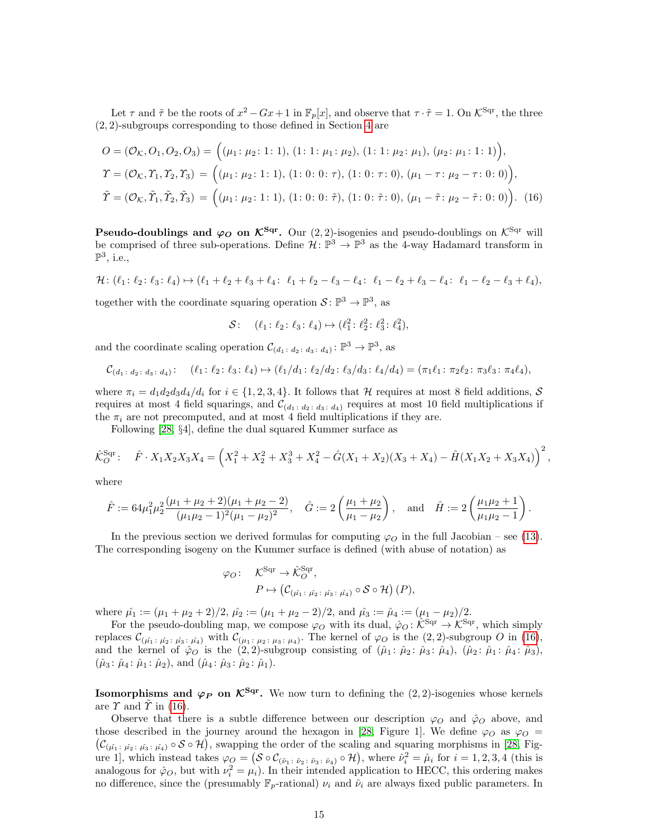Let  $\tau$  and  $\tilde{\tau}$  be the roots of  $x^2 - Gx + 1$  in  $\mathbb{F}_p[x]$ , and observe that  $\tau \cdot \tilde{\tau} = 1$ . On  $\mathcal{K}^{\text{Sqr}}$ , the three (2, 2)-subgroups corresponding to those defined in Section [4](#page-9-0) are

$$
O = (\mathcal{O}_{\mathcal{K}}, O_1, O_2, O_3) = ((\mu_1: \mu_2: 1: 1), (1: 1: \mu_1: \mu_2), (1: 1: \mu_2: \mu_1), (\mu_2: \mu_1: 1: 1)),
$$
  
\n
$$
\Upsilon = (\mathcal{O}_{\mathcal{K}}, \Upsilon_1, \Upsilon_2, \Upsilon_3) = ((\mu_1: \mu_2: 1: 1), (1: 0: 0: \tau), (1: 0: \tau: 0), (\mu_1 - \tau: \mu_2 - \tau: 0: 0)),
$$
  
\n
$$
\tilde{\Upsilon} = (\mathcal{O}_{\mathcal{K}}, \tilde{\Upsilon}_1, \tilde{\Upsilon}_2, \tilde{\Upsilon}_3) = ((\mu_1: \mu_2: 1: 1), (1: 0: 0: \tilde{\tau}), (1: 0: \tilde{\tau}: 0), (\mu_1 - \tilde{\tau}: \mu_2 - \tilde{\tau}: 0: 0)).
$$
 (16)

**Pseudo-doublings and**  $\varphi_O$  **on**  $\mathcal{K}^{\text{Sqr}}$ **.** Our  $(2, 2)$ -isogenies and pseudo-doublings on  $\mathcal{K}^{\text{Sqr}}$  will be comprised of three sub-operations. Define  $\mathcal{H} \colon \mathbb{P}^3 \to \mathbb{P}^3$  as the 4-way Hadamard transform in  $\mathbb{P}^3$ , i.e.,

$$
\mathcal{H} : (\ell_1 : \ell_2 : \ell_3 : \ell_4) \mapsto (\ell_1 + \ell_2 + \ell_3 + \ell_4 : \ell_1 + \ell_2 - \ell_3 - \ell_4 : \ell_1 - \ell_2 + \ell_3 - \ell_4 : \ell_1 - \ell_2 - \ell_3 + \ell_4),
$$

together with the coordinate squaring operation  $S: \mathbb{P}^3 \to \mathbb{P}^3$ , as

<span id="page-14-0"></span>
$$
S: (\ell_1: \ell_2: \ell_3: \ell_4) \mapsto (\ell_1^2: \ell_2^2: \ell_3^2: \ell_4^2),
$$

and the coordinate scaling operation  $\mathcal{C}_{(d_1 \colon d_2 \colon d_3 \colon d_4)} \colon \mathbb{P}^3 \to \mathbb{P}^3$ , as

$$
\mathcal{C}_{(d_1 \colon d_2 \colon d_3 \colon d_4)}: \quad (\ell_1 \colon \ell_2 \colon \ell_3 \colon \ell_4) \mapsto (\ell_1/d_1 \colon \ell_2/d_2 \colon \ell_3/d_3 \colon \ell_4/d_4) = (\pi_1 \ell_1 \colon \pi_2 \ell_2 \colon \pi_3 \ell_3 \colon \pi_4 \ell_4),
$$

where  $\pi_i = d_1 d_2 d_3 d_4 / d_i$  for  $i \in \{1, 2, 3, 4\}$ . It follows that H requires at most 8 field additions, S requires at most 4 field squarings, and  $\mathcal{C}_{(d_1 \ldots d_2 \ldots d_3 \ldots d_4)}$  requires at most 10 field multiplications if the  $\pi_i$  are not precomputed, and at most 4 field multiplications if they are.

Following [\[28,](#page-21-6) §4], define the dual squared Kummer surface as

$$
\hat{\mathcal{K}}_O^{\text{Sqr}}: \quad \hat{F} \cdot X_1 X_2 X_3 X_4 = \left( X_1^2 + X_2^2 + X_3^3 + X_4^2 - \hat{G}(X_1 + X_2)(X_3 + X_4) - \hat{H}(X_1 X_2 + X_3 X_4) \right)^2,
$$

where

$$
\hat{F} := 64\mu_1^2 \mu_2^2 \frac{(\mu_1 + \mu_2 + 2)(\mu_1 + \mu_2 - 2)}{(\mu_1 \mu_2 - 1)^2 (\mu_1 - \mu_2)^2}, \quad \hat{G} := 2\left(\frac{\mu_1 + \mu_2}{\mu_1 - \mu_2}\right), \text{ and } \hat{H} := 2\left(\frac{\mu_1 \mu_2 + 1}{\mu_1 \mu_2 - 1}\right).
$$

In the previous section we derived formulas for computing  $\varphi_O$  in the full Jacobian – see [\(13\)](#page-10-0). The corresponding isogeny on the Kummer surface is defined (with abuse of notation) as

$$
\varphi_O: \quad \mathcal{K}^{\text{Sqr}} \to \hat{\mathcal{K}}_O^{\text{Sqr}},
$$

$$
P \mapsto \left( \mathcal{C}_{(\hat{\mu_1} : \ \hat{\mu_2} : \ \hat{\mu_3} : \ \hat{\mu_4})} \circ \mathcal{S} \circ \mathcal{H} \right) (P),
$$

where  $\hat{\mu}_1 := (\mu_1 + \mu_2 + 2)/2$ ,  $\hat{\mu}_2 := (\mu_1 + \mu_2 - 2)/2$ , and  $\hat{\mu}_3 := \hat{\mu}_4 := (\mu_1 - \mu_2)/2$ .

For the pseudo-doubling map, we compose  $\varphi_O$  with its dual,  $\hat{\varphi}_O : \hat{\mathcal{K}}^{\text{Sqr}} \to \mathcal{K}^{\text{Sqr}}$ , which simply replaces  $\mathcal{C}_{(\hat{\mu_1}:\ \hat{\mu_2}:\ \hat{\mu_3}:\ \hat{\mu_4})}$  with  $\mathcal{C}_{(\mu_1:\ \mu_2:\ \mu_3:\ \mu_4)}$ . The kernel of  $\varphi_O$  is the  $(2,2)$ -subgroup O in  $(16)$ , and the kernel of  $\hat{\varphi}_O$  is the  $(2, 2)$ -subgroup consisting of  $(\hat{\mu}_1 : \hat{\mu}_2 : \hat{\mu}_3 : \hat{\mu}_4)$ ,  $(\hat{\mu}_2 : \hat{\mu}_1 : \hat{\mu}_4 : \hat{\mu}_3)$ ,  $(\hat{\mu}_3 : \hat{\mu}_4 : \hat{\mu}_1 : \hat{\mu}_2)$ , and  $(\hat{\mu}_4 : \hat{\mu}_3 : \hat{\mu}_2 : \hat{\mu}_1)$ .

**Isomorphisms and**  $\varphi_P$  **on**  $\mathcal{K}^{\text{Sqr}}$ **.** We now turn to defining the  $(2, 2)$ -isogenies whose kernels are  $\Upsilon$  and  $\Upsilon$  in [\(16\)](#page-14-0).

Observe that there is a subtle difference between our description  $\varphi$  and  $\hat{\varphi}$  above, and those described in the journey around the hexagon in [\[28,](#page-21-6) Figure 1]. We define  $\varphi_O$  as  $\varphi_O$  =  $(\mathcal{C}_{(\hat{\mu_1}; \hat{\mu_2}; \hat{\mu_3}; \hat{\mu_4})} \circ \mathcal{S} \circ \mathcal{H})$ , swapping the order of the scaling and squaring morphisms in [\[28,](#page-21-6) Figure 1], which instead takes  $\varphi_O = (\mathcal{S} \circ \mathcal{C}_{(\hat{\nu}_1 \colon \hat{\nu}_2 \colon \hat{\nu}_3 \colon \hat{\nu}_4)} \circ \mathcal{H})$ , where  $\hat{\nu}_i^2 = \hat{\mu}_i$  for  $i = 1, 2, 3, 4$  (this is analogous for  $\hat{\varphi}_O$ , but with  $\nu_i^2 = \mu_i$ ). In their intended application to HECC, this ordering makes no difference, since the (presumably  $\mathbb{F}_p$ -rational)  $\nu_i$  and  $\hat{\nu}_i$  are always fixed public parameters. In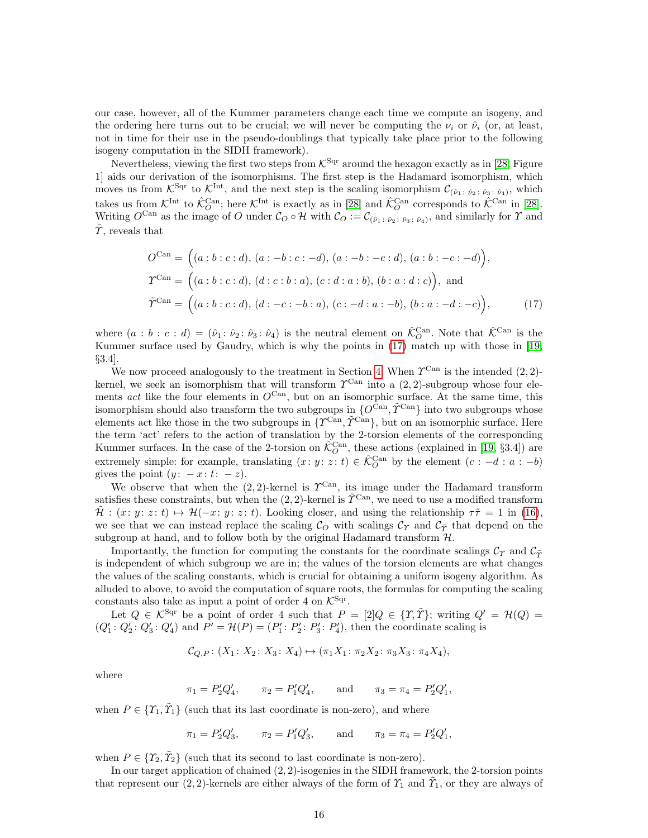our case, however, all of the Kummer parameters change each time we compute an isogeny, and the ordering here turns out to be crucial; we will never be computing the  $\nu_i$  or  $\hat{\nu}_i$  (or, at least, not in time for their use in the pseudo-doublings that typically take place prior to the following isogeny computation in the SIDH framework).

Nevertheless, viewing the first two steps from  $K^{\text{Sqr}}$  around the hexagon exactly as in [\[28,](#page-21-6) Figure 1] aids our derivation of the isomorphisms. The first step is the Hadamard isomorphism, which moves us from  $\mathcal{K}^{\text{Sqr}}$  to  $\mathcal{K}^{\text{Int}}$ , and the next step is the scaling isomorphism  $\mathcal{C}_{(\hat{\nu}_1\,:\,\hat{\nu}_2\,:\,\hat{\nu}_3\,:\,\hat{\nu}_4)}$ , which takes us from  $\mathcal{K}^{\text{Int}}$  to  $\hat{\mathcal{K}}^{\text{Can}}_O$ ; here  $\mathcal{K}^{\text{Int}}$  is exactly as in [\[28\]](#page-21-6) and  $\hat{\mathcal{K}}^{\text{Can}}_O$  corresponds to  $\hat{\mathcal{K}}^{\text{Can}}$  in [28]. Writing  $O^{\text{Can}}$  as the image of O under  $\mathcal{C}_O \circ \mathcal{H}$  with  $\mathcal{C}_O := \mathcal{C}_{(\hat{\nu}_1 \colon \hat{\nu}_2 \colon \hat{\nu}_3 \colon \hat{\nu}_4)}$ , and similarly for  $\Upsilon$  and  $\gamma$ , reveals that

<span id="page-15-0"></span>
$$
O^{\text{Can}} = ((a:b:c:d), (a:-b:c:-d), (a:-b:-c:d), (a:b:-c:-d)),
$$
  
\n
$$
\Upsilon^{\text{Can}} = ((a:b:c:d), (d:c:b:a), (c:d:a:b), (b:a:d:c)),
$$
 and  
\n
$$
\tilde{\Upsilon}^{\text{Can}} = ((a:b:c:d), (d:-c:-b:a), (c:-d:a:-b), (b:a:-d:-c)),
$$
 (17)

where  $(a : b : c : d) = (\hat{\nu}_1 : \hat{\nu}_2 : \hat{\nu}_3 : \hat{\nu}_4)$  is the neutral element on  $\hat{\mathcal{K}}_O^{\text{Can}}$ . Note that  $\hat{\mathcal{K}}_{\text{Can}}^{\text{Can}}$  is the Kummer surface used by Gaudry, which is why the points in [\(17\)](#page-15-0) match up with those in [\[19,](#page-20-8) §3.4].

We now proceed analogously to the treatment in Section [4.](#page-9-0) When  $\Upsilon^{\text{Can}}$  is the intended  $(2, 2)$ kernel, we seek an isomorphism that will transform  $\mathcal{T}^{\text{Can}}$  into a  $(2, 2)$ -subgroup whose four elements act like the four elements in  $O^{\text{Can}}$ , but on an isomorphic surface. At the same time, this isomorphism should also transform the two subgroups in  $\{O^{\operatorname{Can}}, \tilde{\varUpsilon}^{\operatorname{Can}}\}$  into two subgroups whose elements act like those in the two subgroups in  $\{T^{Can}, \tilde{T}^{Can}\}$ , but on an isomorphic surface. Here the term 'act' refers to the action of translation by the 2-torsion elements of the corresponding Kummer surfaces. In the case of the 2-torsion on  $\hat{\mathcal{K}}_O^{\text{Can}}$ , these actions (explained in [\[19,](#page-20-8) §3.4]) are extremely simple: for example, translating  $(x: y: z: t) \in \hat{\mathcal{K}}_O^{\text{Can}}$  by the element  $(c: -d: a: -b)$ gives the point  $(y: -x: t: -z)$ .

We observe that when the  $(2, 2)$ -kernel is  $\mathcal{T}^{\text{Can}}$ , its image under the Hadamard transform satisfies these constraints, but when the (2, 2)-kernel is  $\tilde{\Upsilon}^{\text{Can}}$ , we need to use a modified transform  $\mathcal{H}$  :  $(x: y: z: t) \mapsto \mathcal{H}(-x: y: z: t)$ . Looking closer, and using the relationship  $\tau\tilde{\tau} = 1$  in [\(16\)](#page-14-0), we see that we can instead replace the scaling  $\mathcal{C}_O$  with scalings  $\mathcal{C}_\Upsilon$  and  $\mathcal{C}_{\tilde{\Upsilon}}$  that depend on the subgroup at hand, and to follow both by the original Hadamard transform  $H$ .

Importantly, the function for computing the constants for the coordinate scalings  $\mathcal{C}_\gamma$  and  $\mathcal{C}_{\tilde{\gamma}}$ is independent of which subgroup we are in; the values of the torsion elements are what changes the values of the scaling constants, which is crucial for obtaining a uniform isogeny algorithm. As alluded to above, to avoid the computation of square roots, the formulas for computing the scaling constants also take as input a point of order 4 on  $\mathcal{K}^{\text{Sqr}}$ .

Let  $Q \in \mathcal{K}^{\text{Sqr}}$  be a point of order 4 such that  $P = [2]Q \in \{ \Upsilon, \tilde{\Upsilon} \}$ ; writing  $Q' = \mathcal{H}(Q)$  $(Q'_1: Q'_2: Q'_3: Q'_4)$  and  $P' = \mathcal{H}(P) = (P'_1: P'_2: P'_3: P'_4)$ , then the coordinate scaling is

$$
\mathcal{C}_{Q,P}: (X_1: X_2: X_3: X_4) \mapsto (\pi_1 X_1: \pi_2 X_2: \pi_3 X_3: \pi_4 X_4),
$$

where

 $\pi_1 = P'_2 Q'_4, \qquad \pi_2 = P'_1 Q'_4, \qquad \text{and} \qquad \pi_3 = \pi_4 = P'_2 Q'_1,$ 

when  $P \in \{ \tilde{\Upsilon}_1, \tilde{\Upsilon}_1 \}$  (such that its last coordinate is non-zero), and where

$$
\pi_1 = P'_2 Q'_3
$$
,  $\pi_2 = P'_1 Q'_3$ , and  $\pi_3 = \pi_4 = P'_2 Q'_1$ ,

when  $P \in \{ \mathcal{T}_2, \tilde{\mathcal{T}}_2 \}$  (such that its second to last coordinate is non-zero).

In our target application of chained (2, 2)-isogenies in the SIDH framework, the 2-torsion points that represent our (2, 2)-kernels are either always of the form of  $\mathcal{T}_1$  and  $\tilde{\mathcal{T}}_1$ , or they are always of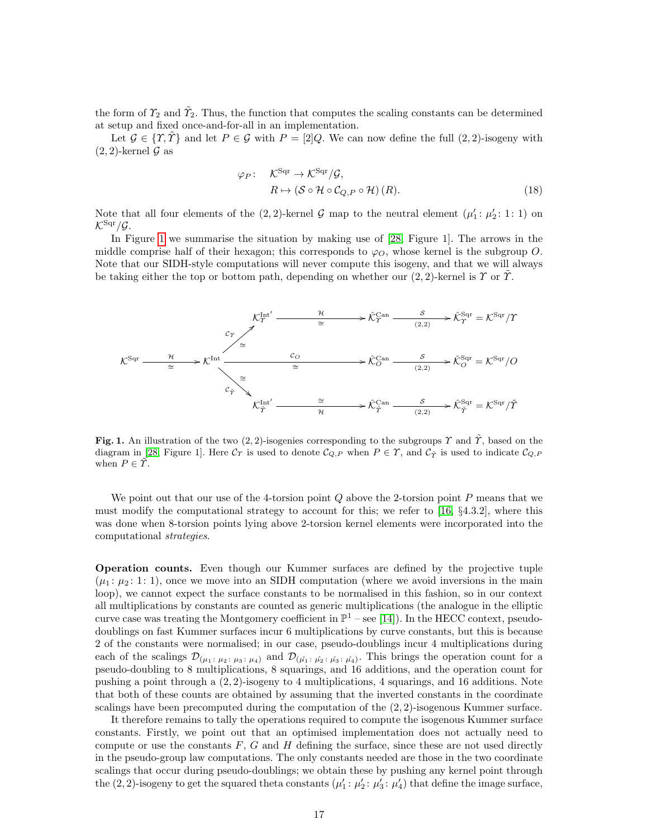the form of  $\tilde{\gamma}_2$  and  $\tilde{\gamma}_2$ . Thus, the function that computes the scaling constants can be determined at setup and fixed once-and-for-all in an implementation.

Let  $\mathcal{G} \in \{\mathcal{X}, \mathcal{Y}\}\$  and let  $P \in \mathcal{G}$  with  $P = [2]Q$ . We can now define the full  $(2, 2)$ -isogeny with  $(2, 2)$ -kernel  $\mathcal G$  as

$$
\varphi_P: \quad \mathcal{K}^{\text{Sqr}} \to \mathcal{K}^{\text{Sqr}}/\mathcal{G},
$$

$$
R \mapsto (\mathcal{S} \circ \mathcal{H} \circ \mathcal{C}_{Q,P} \circ \mathcal{H})(R).
$$
 (18)

Note that all four elements of the  $(2, 2)$ -kernel  $\mathcal G$  map to the neutral element  $(\mu'_1: \mu'_2: 1: 1)$  on  $\mathcal{K}^{\text{Sqr}}/\mathcal{G}.$ 

In Figure [1](#page-16-0) we summarise the situation by making use of [\[28,](#page-21-6) Figure 1]. The arrows in the middle comprise half of their hexagon; this corresponds to  $\varphi_O$ , whose kernel is the subgroup O. Note that our SIDH-style computations will never compute this isogeny, and that we will always be taking either the top or bottom path, depending on whether our  $(2, 2)$ -kernel is  $\Upsilon$  or  $\Upsilon$ .



<span id="page-16-0"></span>Fig. 1. An illustration of the two  $(2, 2)$ -isogenies corresponding to the subgroups Y and  $\tilde{\Upsilon}$ , based on the diagram in [\[28,](#page-21-6) Figure 1]. Here  $\mathcal{C}_\mathcal{T}$  is used to denote  $\mathcal{C}_{Q,P}$  when  $P \in \mathcal{T}$ , and  $\mathcal{C}_{\tilde{\mathcal{T}}}$  is used to indicate  $\mathcal{C}_{Q,P}$ when  $P \in \tilde{T}$ .

We point out that our use of the 4-torsion point Q above the 2-torsion point P means that we must modify the computational strategy to account for this; we refer to [\[16,](#page-20-2) §4.3.2], where this was done when 8-torsion points lying above 2-torsion kernel elements were incorporated into the computational strategies.

Operation counts. Even though our Kummer surfaces are defined by the projective tuple  $(\mu_1: \mu_2: 1: 1)$ , once we move into an SIDH computation (where we avoid inversions in the main loop), we cannot expect the surface constants to be normalised in this fashion, so in our context all multiplications by constants are counted as generic multiplications (the analogue in the elliptic curve case was treating the Montgomery coefficient in  $\mathbb{P}^1$  – see [\[14\]](#page-20-3)). In the HECC context, pseudodoublings on fast Kummer surfaces incur 6 multiplications by curve constants, but this is because 2 of the constants were normalised; in our case, pseudo-doublings incur 4 multiplications during each of the scalings  $\mathcal{D}_{(\mu_1,\mu_2;\mu_3;\mu_4)}$  and  $\mathcal{D}_{(\hat{\mu_1};\hat{\mu_2};\hat{\mu_3};\hat{\mu_4})}$ . This brings the operation count for a pseudo-doubling to 8 multiplications, 8 squarings, and 16 additions, and the operation count for pushing a point through a (2, 2)-isogeny to 4 multiplications, 4 squarings, and 16 additions. Note that both of these counts are obtained by assuming that the inverted constants in the coordinate scalings have been precomputed during the computation of the (2, 2)-isogenous Kummer surface.

It therefore remains to tally the operations required to compute the isogenous Kummer surface constants. Firstly, we point out that an optimised implementation does not actually need to compute or use the constants  $F, G$  and  $H$  defining the surface, since these are not used directly in the pseudo-group law computations. The only constants needed are those in the two coordinate scalings that occur during pseudo-doublings; we obtain these by pushing any kernel point through the  $(2, 2)$ -isogeny to get the squared theta constants  $(\mu'_1: \mu'_2: \mu'_3: \mu'_4)$  that define the image surface,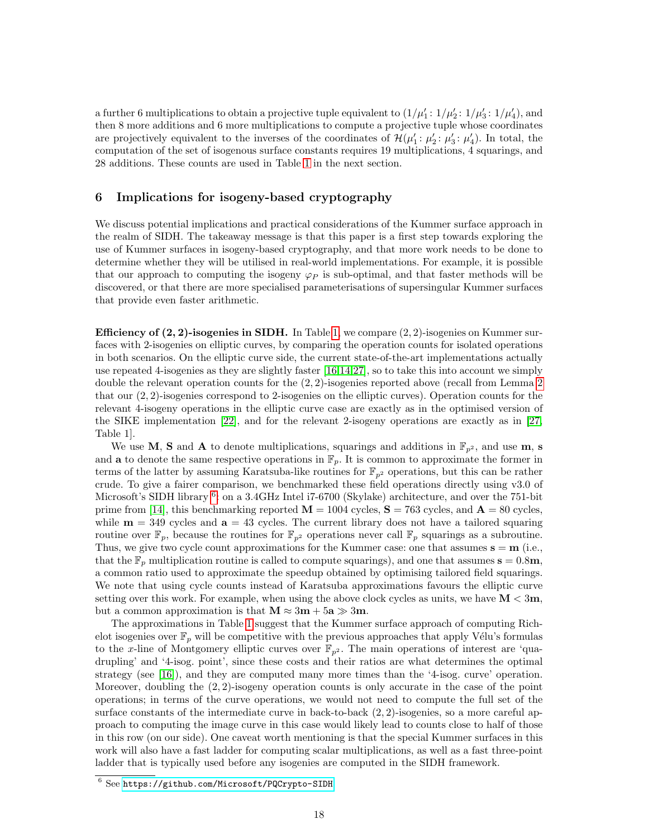a further 6 multiplications to obtain a projective tuple equivalent to  $(1/\mu'_1: 1/\mu'_2: 1/\mu'_3: 1/\mu'_4)$ , and then 8 more additions and 6 more multiplications to compute a projective tuple whose coordinates are projectively equivalent to the inverses of the coordinates of  $\mathcal{H}(\mu'_1: \mu'_2: \mu'_3: \mu'_4)$ . In total, the computation of the set of isogenous surface constants requires 19 multiplications, 4 squarings, and 28 additions. These counts are used in Table [1](#page-18-0) in the next section.

## <span id="page-17-0"></span>6 Implications for isogeny-based cryptography

We discuss potential implications and practical considerations of the Kummer surface approach in the realm of SIDH. The takeaway message is that this paper is a first step towards exploring the use of Kummer surfaces in isogeny-based cryptography, and that more work needs to be done to determine whether they will be utilised in real-world implementations. For example, it is possible that our approach to computing the isogeny  $\varphi_P$  is sub-optimal, and that faster methods will be discovered, or that there are more specialised parameterisations of supersingular Kummer surfaces that provide even faster arithmetic.

**Efficiency of (2, 2)-isogenies in SIDH.** In Table [1,](#page-18-0) we compare  $(2, 2)$ -isogenies on Kummer surfaces with 2-isogenies on elliptic curves, by comparing the operation counts for isolated operations in both scenarios. On the elliptic curve side, the current state-of-the-art implementations actually use repeated 4-isogenies as they are slightly faster [\[16](#page-20-2)[,14,](#page-20-3)[27\]](#page-20-13), so to take this into account we simply double the relevant operation counts for the  $(2, 2)$  $(2, 2)$  $(2, 2)$ -isogenies reported above (recall from Lemma 2) that our (2, 2)-isogenies correspond to 2-isogenies on the elliptic curves). Operation counts for the relevant 4-isogeny operations in the elliptic curve case are exactly as in the optimised version of the SIKE implementation [\[22\]](#page-20-0), and for the relevant 2-isogeny operations are exactly as in [\[27,](#page-20-13) Table 1].

We use M, S and A to denote multiplications, squarings and additions in  $\mathbb{F}_{p^2}$ , and use m, s and **a** to denote the same respective operations in  $\mathbb{F}_p$ . It is common to approximate the former in terms of the latter by assuming Karatsuba-like routines for  $\mathbb{F}_{p^2}$  operations, but this can be rather crude. To give a fairer comparison, we benchmarked these field operations directly using v3.0 of Microsoft's SIDH library <sup>[6](#page-17-1)</sup>: on a 3.4GHz Intel i7-6700 (Skylake) architecture, and over the 751-bit prime from [\[14\]](#page-20-3), this benchmarking reported  $\mathbf{M} = 1004$  cycles,  $\mathbf{S} = 763$  cycles, and  $\mathbf{A} = 80$  cycles, while  $m = 349$  cycles and  $a = 43$  cycles. The current library does not have a tailored squaring routine over  $\mathbb{F}_p$ , because the routines for  $\mathbb{F}_{p^2}$  operations never call  $\mathbb{F}_p$  squarings as a subroutine. Thus, we give two cycle count approximations for the Kummer case: one that assumes  $s = m$  (i.e., that the  $\mathbb{F}_p$  multiplication routine is called to compute squarings), and one that assumes  $s = 0.8m$ , a common ratio used to approximate the speedup obtained by optimising tailored field squarings. We note that using cycle counts instead of Karatsuba approximations favours the elliptic curve setting over this work. For example, when using the above clock cycles as units, we have  $M < 3m$ , but a common approximation is that  $M \approx 3m + 5a \gg 3m$ .

The approximations in Table [1](#page-18-0) suggest that the Kummer surface approach of computing Richelot isogenies over  $\mathbb{F}_p$  will be competitive with the previous approaches that apply Vélu's formulas to the x-line of Montgomery elliptic curves over  $\mathbb{F}_{p^2}$ . The main operations of interest are 'quadrupling' and '4-isog. point', since these costs and their ratios are what determines the optimal strategy (see [\[16\]](#page-20-2)), and they are computed many more times than the '4-isog. curve' operation. Moreover, doubling the (2, 2)-isogeny operation counts is only accurate in the case of the point operations; in terms of the curve operations, we would not need to compute the full set of the surface constants of the intermediate curve in back-to-back (2, 2)-isogenies, so a more careful approach to computing the image curve in this case would likely lead to counts close to half of those in this row (on our side). One caveat worth mentioning is that the special Kummer surfaces in this work will also have a fast ladder for computing scalar multiplications, as well as a fast three-point ladder that is typically used before any isogenies are computed in the SIDH framework.

<span id="page-17-1"></span><sup>6</sup> See <https://github.com/Microsoft/PQCrypto-SIDH>.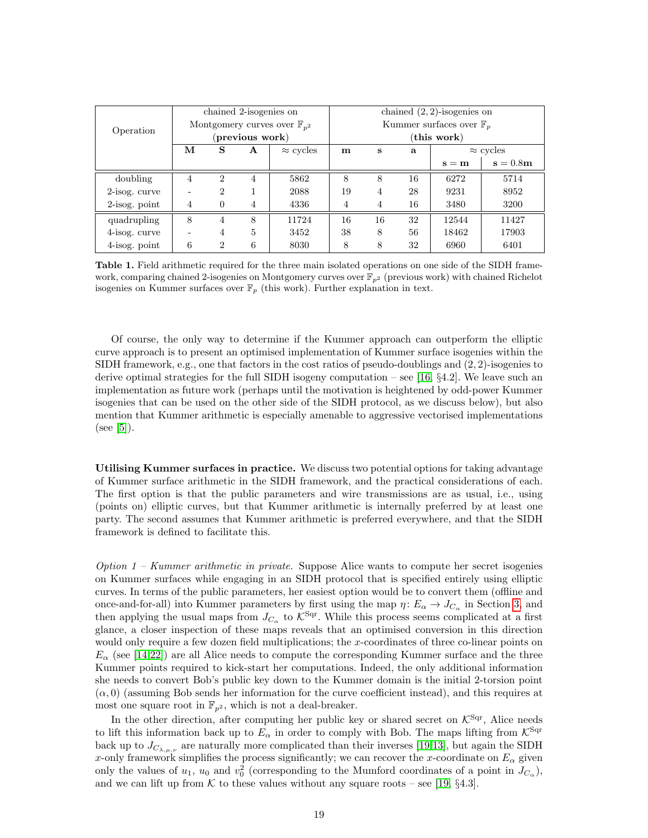| Operation        | chained 2-isogenies on                    |                |                |                  | chained $(2, 2)$ -isogenies on      |    |    |                  |            |  |  |
|------------------|-------------------------------------------|----------------|----------------|------------------|-------------------------------------|----|----|------------------|------------|--|--|
|                  | Montgomery curves over $\mathbb{F}_{n^2}$ |                |                |                  | Kummer surfaces over $\mathbb{F}_n$ |    |    |                  |            |  |  |
|                  | (previous work)                           |                |                |                  | (this work)                         |    |    |                  |            |  |  |
|                  | М                                         | S              | A              | $\approx$ cycles | $\mathbf m$                         | S  | a  | $\approx$ cycles |            |  |  |
|                  |                                           |                |                |                  |                                     |    |    | $s = m$          | $s = 0.8m$ |  |  |
| doubling         | $\overline{4}$                            | $\overline{2}$ | $\overline{4}$ | 5862             | 8                                   | 8  | 16 | 6272             | 5714       |  |  |
| 2-isog. curve    |                                           | 2              |                | 2088             | 19                                  | 4  | 28 | 9231             | 8952       |  |  |
| $2$ -isog. point | 4                                         | $\theta$       | 4              | 4336             | 4                                   | 4  | 16 | 3480             | 3200       |  |  |
| quadrupling      | 8                                         | 4              | 8              | 11724            | 16                                  | 16 | 32 | 12544            | 11427      |  |  |
| 4-isog. curve    |                                           | $\overline{4}$ | 5              | 3452             | 38                                  | 8  | 56 | 18462            | 17903      |  |  |
| 4-isog. point    | 6                                         | 2              | 6              | 8030             | 8                                   | 8  | 32 | 6960             | 6401       |  |  |

<span id="page-18-0"></span>Table 1. Field arithmetic required for the three main isolated operations on one side of the SIDH framework, comparing chained 2-isogenies on Montgomery curves over  $\mathbb{F}_{p^2}$  (previous work) with chained Richelot isogenies on Kummer surfaces over  $\mathbb{F}_p$  (this work). Further explanation in text.

Of course, the only way to determine if the Kummer approach can outperform the elliptic curve approach is to present an optimised implementation of Kummer surface isogenies within the SIDH framework, e.g., one that factors in the cost ratios of pseudo-doublings and  $(2, 2)$ -isogenies to derive optimal strategies for the full SIDH isogeny computation – see [\[16,](#page-20-2)  $\S 4.2$ ]. We leave such an implementation as future work (perhaps until the motivation is heightened by odd-power Kummer isogenies that can be used on the other side of the SIDH protocol, as we discuss below), but also mention that Kummer arithmetic is especially amenable to aggressive vectorised implementations  $(see [5]).$  $(see [5]).$  $(see [5]).$ 

Utilising Kummer surfaces in practice. We discuss two potential options for taking advantage of Kummer surface arithmetic in the SIDH framework, and the practical considerations of each. The first option is that the public parameters and wire transmissions are as usual, i.e., using (points on) elliptic curves, but that Kummer arithmetic is internally preferred by at least one party. The second assumes that Kummer arithmetic is preferred everywhere, and that the SIDH framework is defined to facilitate this.

Option  $1$  – Kummer arithmetic in private. Suppose Alice wants to compute her secret isogenies on Kummer surfaces while engaging in an SIDH protocol that is specified entirely using elliptic curves. In terms of the public parameters, her easiest option would be to convert them (offline and once-and-for-all) into Kummer parameters by first using the map  $\eta: E_{\alpha} \to J_{C_{\alpha}}$  in Section [3,](#page-5-0) and then applying the usual maps from  $J_{C_{\alpha}}$  to  $\mathcal{K}^{\text{Sqr}}$ . While this process seems complicated at a first glance, a closer inspection of these maps reveals that an optimised conversion in this direction would only require a few dozen field multiplications; the x-coordinates of three co-linear points on  $E_\alpha$  (see [\[14](#page-20-3)[,22\]](#page-20-0)) are all Alice needs to compute the corresponding Kummer surface and the three Kummer points required to kick-start her computations. Indeed, the only additional information she needs to convert Bob's public key down to the Kummer domain is the initial 2-torsion point  $(\alpha, 0)$  (assuming Bob sends her information for the curve coefficient instead), and this requires at most one square root in  $\mathbb{F}_{p^2}$ , which is not a deal-breaker.

In the other direction, after computing her public key or shared secret on  $\mathcal{K}^{\text{Sqr}}$ , Alice needs to lift this information back up to  $E_{\alpha}$  in order to comply with Bob. The maps lifting from  $\mathcal{K}^{\text{Sqr}}$ back up to  $J_{C_{\lambda,\mu,\nu}}$  are naturally more complicated than their inverses [\[19,](#page-20-8)[13\]](#page-20-21), but again the SIDH x-only framework simplifies the process significantly; we can recover the x-coordinate on  $E_{\alpha}$  given only the values of  $u_1$ ,  $u_0$  and  $v_0^2$  (corresponding to the Mumford coordinates of a point in  $J_{C_{\alpha}}$ ), and we can lift up from K to these values without any square roots – see [\[19,](#page-20-8)  $\S 4.3$ ].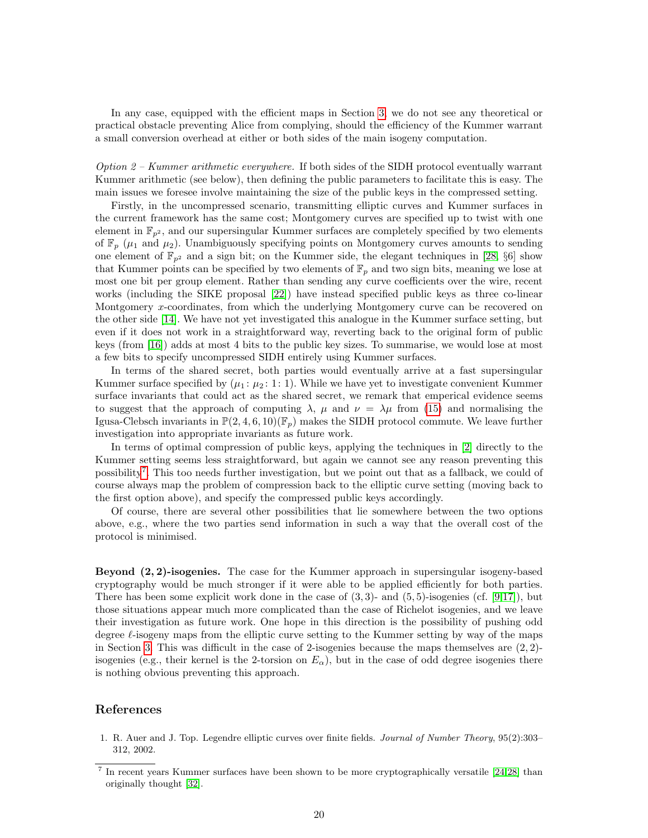In any case, equipped with the efficient maps in Section [3,](#page-5-0) we do not see any theoretical or practical obstacle preventing Alice from complying, should the efficiency of the Kummer warrant a small conversion overhead at either or both sides of the main isogeny computation.

Option  $2$  – Kummer arithmetic everywhere. If both sides of the SIDH protocol eventually warrant Kummer arithmetic (see below), then defining the public parameters to facilitate this is easy. The main issues we foresee involve maintaining the size of the public keys in the compressed setting.

Firstly, in the uncompressed scenario, transmitting elliptic curves and Kummer surfaces in the current framework has the same cost; Montgomery curves are specified up to twist with one element in  $\mathbb{F}_{p^2}$ , and our supersingular Kummer surfaces are completely specified by two elements of  $\mathbb{F}_p$  ( $\mu_1$  and  $\mu_2$ ). Unambiguously specifying points on Montgomery curves amounts to sending one element of  $\mathbb{F}_{p^2}$  and a sign bit; on the Kummer side, the elegant techniques in [\[28,](#page-21-6) §6] show that Kummer points can be specified by two elements of  $\mathbb{F}_p$  and two sign bits, meaning we lose at most one bit per group element. Rather than sending any curve coefficients over the wire, recent works (including the SIKE proposal [\[22\]](#page-20-0)) have instead specified public keys as three co-linear Montgomery x-coordinates, from which the underlying Montgomery curve can be recovered on the other side [\[14\]](#page-20-3). We have not yet investigated this analogue in the Kummer surface setting, but even if it does not work in a straightforward way, reverting back to the original form of public keys (from [\[16\]](#page-20-2)) adds at most 4 bits to the public key sizes. To summarise, we would lose at most a few bits to specify uncompressed SIDH entirely using Kummer surfaces.

In terms of the shared secret, both parties would eventually arrive at a fast supersingular Kummer surface specified by  $(\mu_1 : \mu_2 : 1 : 1)$ . While we have yet to investigate convenient Kummer surface invariants that could act as the shared secret, we remark that emperical evidence seems to suggest that the approach of computing  $\lambda$ ,  $\mu$  and  $\nu = \lambda \mu$  from [\(15\)](#page-13-0) and normalising the Igusa-Clebsch invariants in  $\mathbb{P}(2, 4, 6, 10)(\mathbb{F}_p)$  makes the SIDH protocol commute. We leave further investigation into appropriate invariants as future work.

In terms of optimal compression of public keys, applying the techniques in [\[2\]](#page-20-22) directly to the Kummer setting seems less straightforward, but again we cannot see any reason preventing this possibility<sup>[7](#page-19-1)</sup>. This too needs further investigation, but we point out that as a fallback, we could of course always map the problem of compression back to the elliptic curve setting (moving back to the first option above), and specify the compressed public keys accordingly.

Of course, there are several other possibilities that lie somewhere between the two options above, e.g., where the two parties send information in such a way that the overall cost of the protocol is minimised.

Beyond (2, 2)-isogenies. The case for the Kummer approach in supersingular isogeny-based cryptography would be much stronger if it were able to be applied efficiently for both parties. There has been some explicit work done in the case of  $(3,3)$ - and  $(5,5)$ -isogenies (cf. [\[9](#page-20-23)[,17\]](#page-20-24)), but those situations appear much more complicated than the case of Richelot isogenies, and we leave their investigation as future work. One hope in this direction is the possibility of pushing odd degree  $\ell$ -isogeny maps from the elliptic curve setting to the Kummer setting by way of the maps in Section [3.](#page-5-0) This was difficult in the case of 2-isogenies because the maps themselves are  $(2, 2)$ isogenies (e.g., their kernel is the 2-torsion on  $E_{\alpha}$ ), but in the case of odd degree isogenies there is nothing obvious preventing this approach.

## References

<span id="page-19-0"></span>1. R. Auer and J. Top. Legendre elliptic curves over finite fields. Journal of Number Theory, 95(2):303– 312, 2002.

<span id="page-19-1"></span><sup>7</sup> In recent years Kummer surfaces have been shown to be more cryptographically versatile [\[24,](#page-20-25)[28\]](#page-21-6) than originally thought [\[32\]](#page-21-7).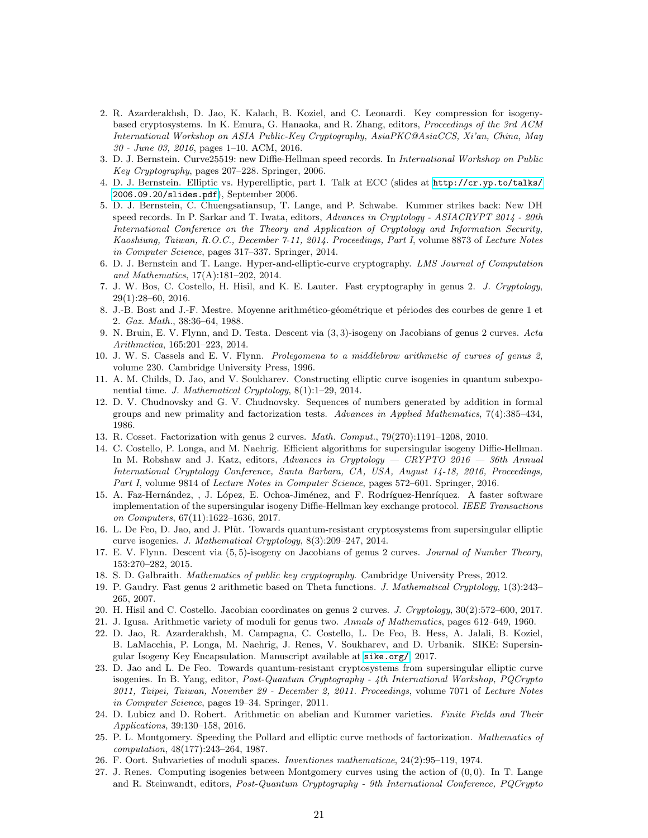- <span id="page-20-22"></span>2. R. Azarderakhsh, D. Jao, K. Kalach, B. Koziel, and C. Leonardi. Key compression for isogenybased cryptosystems. In K. Emura, G. Hanaoka, and R. Zhang, editors, Proceedings of the 3rd ACM International Workshop on ASIA Public-Key Cryptography, AsiaPKC@AsiaCCS, Xi'an, China, May 30 - June 03, 2016, pages 1–10. ACM, 2016.
- <span id="page-20-10"></span>3. D. J. Bernstein. Curve25519: new Diffie-Hellman speed records. In International Workshop on Public Key Cryptography, pages 207–228. Springer, 2006.
- <span id="page-20-18"></span>4. D. J. Bernstein. Elliptic vs. Hyperelliptic, part I. Talk at ECC (slides at [http://cr.yp.to/talks/](http://cr.yp.to/talks/2006.09.20/slides.pdf) [2006.09.20/slides.pdf](http://cr.yp.to/talks/2006.09.20/slides.pdf)), September 2006.
- <span id="page-20-20"></span>5. D. J. Bernstein, C. Chuengsatiansup, T. Lange, and P. Schwabe. Kummer strikes back: New DH speed records. In P. Sarkar and T. Iwata, editors, Advances in Cryptology - ASIACRYPT 2014 - 20th International Conference on the Theory and Application of Cryptology and Information Security, Kaoshiung, Taiwan, R.O.C., December 7-11, 2014. Proceedings, Part I, volume 8873 of Lecture Notes in Computer Science, pages 317–337. Springer, 2014.
- <span id="page-20-5"></span>6. D. J. Bernstein and T. Lange. Hyper-and-elliptic-curve cryptography. LMS Journal of Computation and Mathematics, 17(A):181–202, 2014.
- <span id="page-20-19"></span>7. J. W. Bos, C. Costello, H. Hisil, and K. E. Lauter. Fast cryptography in genus 2. J. Cryptology, 29(1):28–60, 2016.
- <span id="page-20-17"></span>8. J.-B. Bost and J.-F. Mestre. Moyenne arithmético-géométrique et périodes des courbes de genre 1 et 2. Gaz. Math., 38:36–64, 1988.
- <span id="page-20-23"></span>9. N. Bruin, E. V. Flynn, and D. Testa. Descent via (3, 3)-isogeny on Jacobians of genus 2 curves. Acta Arithmetica, 165:201–223, 2014.
- <span id="page-20-6"></span>10. J. W. S. Cassels and E. V. Flynn. Prolegomena to a middlebrow arithmetic of curves of genus 2, volume 230. Cambridge University Press, 1996.
- <span id="page-20-14"></span>11. A. M. Childs, D. Jao, and V. Soukharev. Constructing elliptic curve isogenies in quantum subexponential time. J. Mathematical Cryptology, 8(1):1–29, 2014.
- <span id="page-20-7"></span>12. D. V. Chudnovsky and G. V. Chudnovsky. Sequences of numbers generated by addition in formal groups and new primality and factorization tests. Advances in Applied Mathematics, 7(4):385–434, 1986.
- <span id="page-20-21"></span>13. R. Cosset. Factorization with genus 2 curves. Math. Comput., 79(270):1191–1208, 2010.
- <span id="page-20-3"></span>14. C. Costello, P. Longa, and M. Naehrig. Efficient algorithms for supersingular isogeny Diffie-Hellman. In M. Robshaw and J. Katz, editors, Advances in Cryptology — CRYPTO 2016 — 36th Annual International Cryptology Conference, Santa Barbara, CA, USA, August 14-18, 2016, Proceedings, Part I, volume 9814 of Lecture Notes in Computer Science, pages 572–601. Springer, 2016.
- <span id="page-20-4"></span>15. A. Faz-Hernández, , J. López, E. Ochoa-Jiménez, and F. Rodríguez-Henríquez. A faster software implementation of the supersingular isogeny Diffie-Hellman key exchange protocol. IEEE Transactions on Computers, 67(11):1622–1636, 2017.
- <span id="page-20-2"></span>16. L. De Feo, D. Jao, and J. Plût. Towards quantum-resistant cryptosystems from supersingular elliptic curve isogenies. J. Mathematical Cryptology, 8(3):209–247, 2014.
- <span id="page-20-24"></span>17. E. V. Flynn. Descent via  $(5, 5)$ -isogeny on Jacobians of genus 2 curves. Journal of Number Theory, 153:270–282, 2015.
- <span id="page-20-12"></span>18. S. D. Galbraith. Mathematics of public key cryptography. Cambridge University Press, 2012.
- <span id="page-20-8"></span>19. P. Gaudry. Fast genus 2 arithmetic based on Theta functions. J. Mathematical Cryptology, 1(3):243– 265, 2007.
- <span id="page-20-16"></span>20. H. Hisil and C. Costello. Jacobian coordinates on genus 2 curves. J. Cryptology, 30(2):572–600, 2017.
- <span id="page-20-11"></span>21. J. Igusa. Arithmetic variety of moduli for genus two. Annals of Mathematics, pages 612–649, 1960.
- <span id="page-20-0"></span>22. D. Jao, R. Azarderakhsh, M. Campagna, C. Costello, L. De Feo, B. Hess, A. Jalali, B. Koziel, B. LaMacchia, P. Longa, M. Naehrig, J. Renes, V. Soukharev, and D. Urbanik. SIKE: Supersingular Isogeny Key Encapsulation. Manuscript available at <sike.org/>, 2017.
- <span id="page-20-1"></span>23. D. Jao and L. De Feo. Towards quantum-resistant cryptosystems from supersingular elliptic curve isogenies. In B. Yang, editor, Post-Quantum Cryptography - 4th International Workshop, PQCrypto 2011, Taipei, Taiwan, November 29 - December 2, 2011. Proceedings, volume 7071 of Lecture Notes in Computer Science, pages 19–34. Springer, 2011.
- <span id="page-20-25"></span>24. D. Lubicz and D. Robert. Arithmetic on abelian and Kummer varieties. Finite Fields and Their Applications, 39:130–158, 2016.
- <span id="page-20-9"></span>25. P. L. Montgomery. Speeding the Pollard and elliptic curve methods of factorization. Mathematics of computation, 48(177):243–264, 1987.
- <span id="page-20-15"></span>26. F. Oort. Subvarieties of moduli spaces. Inventiones mathematicae, 24(2):95–119, 1974.
- <span id="page-20-13"></span>27. J. Renes. Computing isogenies between Montgomery curves using the action of (0, 0). In T. Lange and R. Steinwandt, editors, Post-Quantum Cryptography - 9th International Conference, PQCrypto